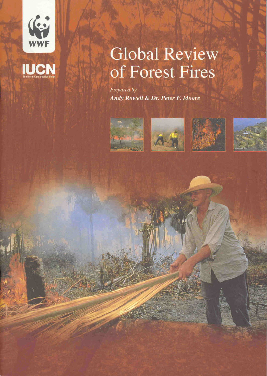



# **Global Review** of Forest Fires

Prepared by Andy Rowell & Dr. Peter F. Moore







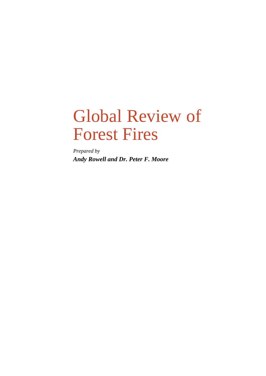# Global Review of Forest Fires

*Prepared by Andy Rowell and Dr. Peter F. Moore*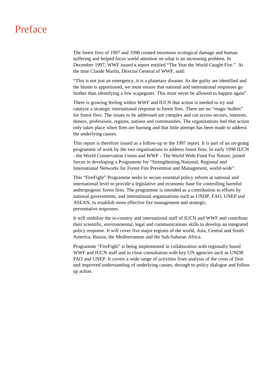### Preface

The forest fires of 1997 and 1998 created enormous ecological damage and human suffering and helped focus world attention on what is an increasing problem. In December 1997, WWF issued a report entitled "The Year the World Caught Fire." At the time Claude Martin, Director General of WWF, said:

"This is not just an emergency, it is a planetary disaster. As the guilty are identified and the blame is apportioned, we must ensure that national and international responses go further than identifying a few scapegoats. This must never be allowed to happen again".

There is growing feeling within WWF and IUCN that action is needed to try and catalyse a strategic international response to forest fires. There are no "magic bullets" for forest fires. The issues to be addressed are complex and cut across sectors, interests, donors, professions, regions, nations and communities. The organisations feel that action only takes place when fires are burning and that little attempt has been made to address the underlying causes.

This report is therefore issued as a follow-up to the 1997 report. It is part of an on-going programme of work by the two organisations to address forest fires. In early 1998 IUCN - the World Conservation Union and WWF - The World Wide Fund For Nature, joined forces in developing a Programme for "Strengthening National, Regional and International Networks for Forest Fire Prevention and Management, world-wide".

This "FireFight" Programme seeks to secure essential policy reform at national and international level to provide a legislative and economic base for controlling harmful anthropogenic forest fires. The programme is intended as a contribution to efforts by national governments, and international organisations such as UNDP, FAO, UNEP and ASEAN, to establish more effective fire management and strategic, preventative responses.

It will mobilise the in-country and international staff of IUCN and WWF and contribute their scientific, environmental, legal and communications skills to develop an integrated policy response. It will cover five major regions of the world, Asia, Central and South America, Russia, the Mediterranean and the Sub-Saharan Africa.

Programme "FireFight" is being implemented in collaboration with regionally based WWF and IUCN staff and in close consultation with key UN agencies such as UNDP, FAO and UNEP. It covers a wide range of activities from analysis of the costs of fires and improved understanding of underlying causes, through to policy dialogue and follow up action.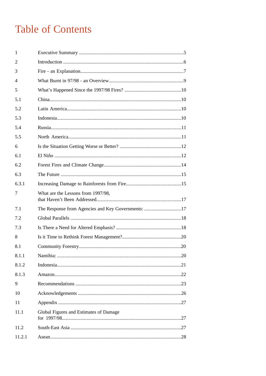# **Table of Contents**

| What are the Lessons from 1997/98,     |                                                    |
|----------------------------------------|----------------------------------------------------|
|                                        |                                                    |
|                                        |                                                    |
|                                        |                                                    |
|                                        |                                                    |
|                                        |                                                    |
|                                        |                                                    |
|                                        |                                                    |
|                                        |                                                    |
|                                        |                                                    |
|                                        |                                                    |
|                                        |                                                    |
| Global Figures and Estimates of Damage |                                                    |
|                                        |                                                    |
|                                        |                                                    |
|                                        | The Response from Agencies and Key Governments: 17 |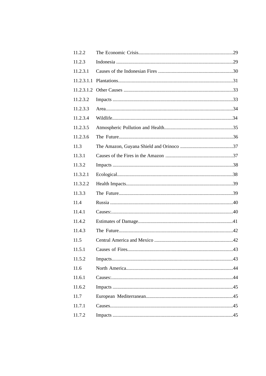| 11.2.2     |  |
|------------|--|
| 11.2.3     |  |
| 11.2.3.1   |  |
| 11.2.3.1.1 |  |
|            |  |
| 11.2.3.2   |  |
| 11.2.3.3   |  |
| 11.2.3.4   |  |
| 11.2.3.5   |  |
| 11.2.3.6   |  |
| 11.3       |  |
| 11.3.1     |  |
| 11.3.2     |  |
| 11.3.2.1   |  |
| 11.3.2.2   |  |
| 11.3.3     |  |
| 11.4       |  |
| 11.4.1     |  |
| 11.4.2     |  |
| 11.4.3     |  |
| 11.5       |  |
| 11.5.1     |  |
| 11.5.2     |  |
| 11.6       |  |
| 11.6.1     |  |
| 11.6.2     |  |
| 11.7       |  |
| 11.7.1     |  |
| 11.7.2     |  |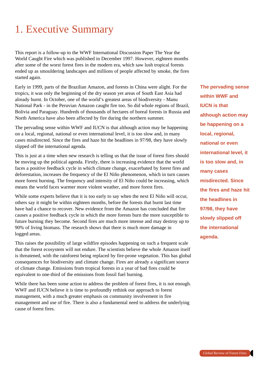# 1. Executive Summary

This report is a follow-up to the WWF International Discussion Paper The Year the World Caught Fire which was published in December 1997. However, eighteen months after some of the worst forest fires in the modern era, which saw lush tropical forests ended up as smouldering landscapes and millions of people affected by smoke, the fires started again.

Early in 1999, parts of the Brazilian Amazon, and forests in China were alight. For the tropics, it was only the beginning of the dry season yet areas of South East Asia had already burnt. In October, one of the world's greatest areas of biodiversity - Manu National Park - in the Peruvian Amazon caught fire too. So did whole regions of Brazil, Bolivia and Paraguay. Hundreds of thousands of hectares of boreal forests in Russia and North America have also been affected by fire during the northern summer.

The pervading sense within WWF and IUCN is that although action may be happening on a local, regional, national or even international level, it is too slow and, in many cases misdirected. Since the fires and haze hit the headlines in 97/98, they have slowly slipped off the international agenda.

This is just at a time when new research is telling us that the issue of forest fires should be moving up the political agenda. Firstly, there is increasing evidence that the world faces a positive feedback cycle in which climate change, exacerbated by forest fires and deforestation, increases the frequency of the El Niño phenomenon, which in turn causes more forest burning. The frequency and intensity of El Niño could be increasing, which means the world faces warmer more violent weather, and more forest fires.

While some experts believe that it is too early to say when the next El Niño will occur, others say it might be within eighteen months, before the forests that burnt last time have had a chance to recover. New evidence from the Amazon has concluded that fire causes a positive feedback cycle in which the more forests burn the more susceptible to future burning they become. Second fires are much more intense and may destroy up to 90% of living biomass. The research shows that there is much more damage in logged areas.

This raises the possibility of large wildfire episodes happening on such a frequent scale that the forest ecosystem will not endure. The scientists believe the whole Amazon itself is threatened, with the rainforest being replaced by fire-prone vegetation. This has global consequences for biodiversity and climate change. Fires are already a significant source of climate change. Emissions from tropical forests in a year of bad fires could be equivalent to one-third of the emissions from fossil fuel burning.

While there has been some action to address the problem of forest fires, it is not enough. WWF and IUCN believe it is time to profoundly rethink our approach to forest management, with a much greater emphasis on community involvement in fire management and use of fire. There is also a fundamental need to address the underlying cause of forest fires.

**The pervading sense within WWF and IUCN is that although action may be happening on a local, regional, national or even international level, it is too slow and, in many cases misdirected. Since the fires and haze hit the headlines in 97/98, they have slowly slipped off the international agenda.**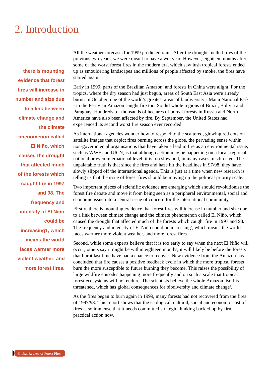### 2. Introduction

**there is mounting evidence that forest fires will increase in number and size due to a link between climate change and the climate phenomenon called El Niño, which caused the drought that affected much of the forests which caught fire in 1997 and 98. The frequency and intensity of El Niño could be increasing1, which means the world faces warmer more violent weather, and more forest fires.**

All the weather forecasts for 1999 predicted rain. After the drought-fuelled fires of the previous two years, we were meant to have a wet year. However, eighteen months after some of the worst forest fires in the modern era, which saw lush tropical forests ended up as smouldering landscapes and millions of people affected by smoke, the fires have started again.

Early in 1999, parts of the Brazilian Amazon, and forests in China were alight. For the tropics, where the dry season had just begun, areas of South East Asia were already burnt. In October, one of the world's greatest areas of biodiversity - Manu National Park - in the Peruvian Amazon caught fire too. So did whole regions of Brazil, Bolivia and Paraguay. Hundreds o f thousands of hectares of boreal forests in Russia and North America have also been affected by fire. By September, the United States had experienced its second worst fire season ever recorded.

As international agencies wonder how to respond to the scattered, glowing red dots on satellite images that depict fires burning across the globe, the pervading sense within non-governmental organisations that have taken a lead in fire as an environmental issue, such as WWF and IUCN, is that although action may be happening on a local, regional, national or even international level, it is too slow and, in many cases misdirected. The unpalatable truth is that since the fires and haze hit the headlines in 97/98, they have slowly slipped off the international agenda. This is just at a time when new research is telling us that the issue of forest fires should be moving up the political priority scale.

Two important pieces of scientific evidence are emerging which should revolutionise the forest fire debate and move it from being seen as a peripheral environmental, social and economic issue into a central issue of concern for the international community.

Firstly, there is mounting evidence that forest fires will increase in number and size due to a link between climate change and the climate phenomenon called El Niño, which caused the drought that affected much of the forests which caught fire in 1997 and 98. The frequency and intensity of El Niño could be increasing<sup>1</sup>, which means the world faces warmer more violent weather, and more forest fires.

Second, while some experts believe that it is too early to say when the next El Niño will occur, others say it might be within eighteen months, it will likely be before the forests that burnt last time have had a chance to recover. New evidence from the Amazon has concluded that fire causes a positive feedback cycle in which the more tropical forests burn the more susceptible to future burning they become. This raises the possibility of large wildfire episodes happening more frequently and on such a scale that tropical forest ecosystems will not endure. The scientists believe the whole Amazon itself is threatened, which has global consequences for biodiversity and climate change<sup>2</sup>.

As the fires began to burn again in 1999, many forests had not recovered from the fires of 1997/98. This report shows that the ecological, cultural, social and economic cost of fires is so immense that it needs committed strategic thinking backed up by firm practical action now.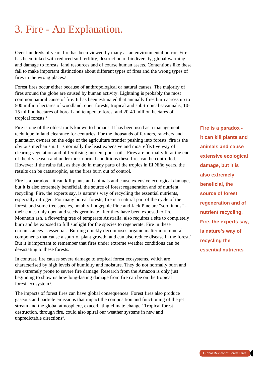# 3. Fire - An Explanation.

Over hundreds of years fire has been viewed by many as an environmental horror. Fire has been linked with reduced soil fertility, destruction of biodiversity, global warming and damage to forests, land resources and of course human assets. Contentions like these fail to make important distinctions about different types of fires and the wrong types of fires in the wrong places.<sup>3</sup>

Forest fires occur either because of anthropological or natural causes. The majority of fires around the globe are caused by human activity. Lightning is probably the most common natural cause of fire. It has been estimated that annually fires burn across up to 500 million hectares of woodland, open forests, tropical and sub-tropical savannahs, 10- 15 million hectares of boreal and temperate forest and 20-40 million hectares of tropical forests.4

Fire is one of the oldest tools known to humans. It has been used as a management technique in land clearance for centuries. For the thousands of farmers, ranchers and plantation owners on the edge of the agriculture frontier pushing into forests, fire is the obvious mechanism. It is normally the least expensive and most effective way of clearing vegetation and of fertilising nutrient poor soils. Fires are normally lit at the end of the dry season and under most normal conditions these fires can be controlled. However if the rains fail, as they do in many parts of the tropics in El Niño years, the results can be catastrophic, as the fires burn out of control.

Fire is a paradox - it can kill plants and animals and cause extensive ecological damage, but it is also extremely beneficial, the source of forest regeneration and of nutrient recycling. Fire, the experts say, is nature's way of recycling the essential nutrients, especially nitrogen. For many boreal forests, fire is a natural part of the cycle of the forest, and some tree species, notably Lodgepole Pine and Jack Pine are "serotinous" their cones only open and seeds germinate after they have been exposed to fire. Mountain ash, a flowering tree of temperate Australia, also requires a site to completely burn and be exposed to full sunlight for the species to regenerate. Fire in these circumstances is essential. Burning quickly decomposes organic matter into mineral components that cause a spurt of plant growth, and can also reduce disease in the forest.<sup>5</sup> But it is important to remember that fires under extreme weather conditions can be devastating to these forests.

In contrast, fire causes severe damage to tropical forest ecosystems, which are characterised by high levels of humidity and moisture. They do not normally burn and are extremely prone to severe fire damage. Research from the Amazon is only just beginning to show us how long-lasting damage from fire can be on the tropical forest ecosystem<sup>6</sup>.

The impacts of forest fires can have global consequences: Forest fires also produce gaseous and particle emissions that impact the composition and functioning of the jet stream and the global atmosphere, exacerbating climate change.7 Tropical forest destruction, through fire, could also spiral our weather systems in new and unpredictable directions<sup>8</sup>.

**Fire is a paradox it can kill plants and animals and cause extensive ecological damage, but it is also extremely beneficial, the source of forest regeneration and of nutrient recycling. Fire, the experts say, is nature's way of recycling the essential nutrients**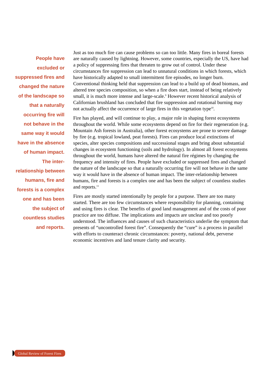**People have excluded or suppressed fires and changed the nature of the landscape so that a naturally occurring fire will not behave in the same way it would have in the absence of human impact. The interrelationship between humans, fire and forests is a complex one and has been the subject of countless studies and reports.** Just as too much fire can cause problems so can too little. Many fires in boreal forests are naturally caused by lightning. However, some countries, especially the US, have had a policy of suppressing fires that threaten to grow out of control. Under these circumstances fire suppression can lead to unnatural conditions in which forests, which have historically adapted to small intermittent fire episodes, no longer burn. Conventional thinking held that suppression can lead to a build up of dead biomass, and altered tree species composition, so when a fire does start, instead of being relatively small, it is much more intense and large-scale.9 However recent historical analysis of Californian brushland has concluded that fire suppression and rotational burning may not actually affect the occurrence of large fires in this vegetation type<sup>10</sup>.

Fire has played, and will continue to play, a major role in shaping forest ecosystems throughout the world. While some ecosystems depend on fire for their regeneration (e.g. Mountain Ash forests in Australia), other forest ecosystems are prone to severe damage by fire (e.g. tropical lowland, peat forests). Fires can produce local extinctions of species, alter species compositions and successional stages and bring about substantial changes in ecosystem functioning (soils and hydrology). In almost all forest ecosystems throughout the world, humans have altered the natural fire régimes by changing the frequency and intensity of fires. People have excluded or suppressed fires and changed the nature of the landscape so that a naturally occurring fire will not behave in the same way it would have in the absence of human impact. The inter-relationship between humans, fire and forests is a complex one and has been the subject of countless studies and reports.<sup>11</sup>

Fires are mostly started intentionally by people for a purpose. There are too many started. There are too few circumstances where responsibility for planning, containing and using fires is clear. The benefits of good land management and of the costs of poor practice are too diffuse. The implications and impacts are unclear and too poorly understood. The influences and causes of such characteristics underlie the symptom that presents of "uncontrolled forest fire". Consequently the "cure" is a process in parallel with efforts to counteract chronic circumstances: poverty, national debt, perverse economic incentives and land tenure clarity and security.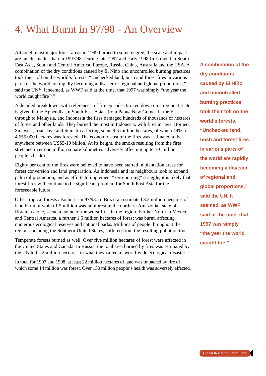# 4. What Burnt in 97/98 - An Overview

Although most major forest areas in 1999 burned to some degree, the scale and impact are much smaller than in 1997/98. During late 1997 and early 1998 fires raged in South East Asia, South and Central America, Europe, Russia, China, Australia and the USA. A combination of the dry conditions caused by El Niño and uncontrolled burning practices took their toll on the world's forests. "Unchecked land, bush and forest fires in various parts of the world are rapidly becoming a disaster of regional and global proportions," said the UN $12$ . It seemed, as WWF said at the time, that 1997 was simply "the year the world caught fire<sup>13</sup>."

A detailed breakdown, with references, of fire episodes broken down on a regional scale is given in the Appendix. In South East Asia - from Papua New Guinea in the East through to Malaysia, and Indonesia the fires damaged hundreds of thousands of hectares of forest and other lands. They burned the most in Indonesia, with fires in Java, Borneo, Sulawesi, Irian Jaya and Sumatra affecting some 9.5 million hectares, of which 49%, or 4,655,000 hectares was forested. The economic cost of the fires was estimated to be anywhere between US\$5-10 billion. At its height, the smoke resulting from the fires stretched over one million square kilometres adversely affecting up to 70 million people's health.

Eighty per cent of the fires were believed to have been started in plantation areas for forest conversion and land preparation. As Indonesia and its neighbours look to expand palm oil production, and as efforts to implement "zero-burning" struggle, it is likely that forest fires will continue to be significant problem for South East Asia for the foreseeable future.

Other tropical forests also burnt in 97/98. In Brazil an estimated 3.3 million hectares of land burnt of which 1.5 million was rainforest in the northern Amazonian state of Roraima alone, scene to some of the worst fires in the region. Further North in Mexico and Central America, a further 1.5 million hectares of forest was burnt, affecting numerous ecological reserves and national parks. Millions of people throughout the region, including the Southern United States, suffered from the resulting pollution too.

Temperate forests burned as well. Over five million hectares of forest were affected in the United States and Canada. In Russia, the total area burned by fires was estimated by the UN to be 2 million hectares, in what they called a "world-wide ecological disaster."

In total for 1997 and 1998, at least 22 million hectares of land was impacted by fire of which some 14 million was forest. Over 130 million people's health was adversely affected.

**A combination of the dry conditions caused by El Niño and uncontrolled burning practices took their toll on the world's forests. "Unchecked land, bush and forest fires in various parts of the world are rapidly becoming a disaster of regional and global proportions," said the UN. It seemed, as WWF said at the time, that 1997 was simply "the year the world caught fire."**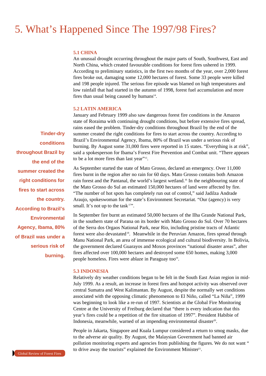## 5. What's Happened Since The 1997/98 Fires?

#### **5.1 CHINA**

An unusual drought occurring throughout the major parts of South, Southwest, East and North China, which created favourable conditions for forest fires ushered in 1999. According to preliminary statistics, in the first two months of the year, over 2,000 forest fires broke out, damaging some 12,000 hectares of forest. Some 33 people were killed and 198 people injured. The serious fire episode was blamed on high temperatures and low rainfall that had started in the autumn of 1998, forest fuel accumulation and more fires than usual being caused by humans $14$ .

#### **5.2 LATIN AMERICA**

January and February 1999 also saw dangerous forest fire conditions in the Amazon state of Roraima with continuing drought conditions, but before extensive fires spread, rains eased the problem. Tinder-dry conditions throughout Brazil by the end of the summer created the right conditions for fires to start across the country. According to Brazil's Environmental Agency, Ibama, 80% of Brazil was under a serious risk of burning. By August some 31,000 fires were reported in 15 states. "Everything is at risk", said a spokesperson for Ibama's Forest Fire Prevention and Combat unit. "There appears to be a lot more fires than last year"15.

As September started the state of Mato Grosso, declared an emergency. Over 11,000 fires burnt in the region after no rain for 60 days. Mato Grosso contains both Amazon rain forest and the Pantanal, the world's largest wetland.16 In the neighbouring state of the Mato Grosso do Sul an estimated 150,000 hectares of land were affected by fire. "The number of hot spots has completely run out of control," said Jadilza Andrade Araujo, spokeswoman for the state's Environment Secretariat. "Our (agency) is very small. It's not up to the task  $17$ ".

In September fire burnt an estimated 50,000 hectares of the Ilha Grande National Park, in the southern state of Parana on its border with Mato Grosso do Sul. Over 70 hectares of the Serra dos Orgaos National Park, near Rio, including pristine tracts of Atlantic forest were also devastated<sup>18</sup>. Meanwhile in the Peruvian Amazon, fires spread through Manu National Park, an area of immense ecological and cultural biodiversity. In Bolivia, the government declared Guarayos and Moxos provinces "national disaster areas", after fires affected over 100,000 hectares and destroyed some 650 homes, making 3,000 people homeless. Fires were ablaze in Paraguay too<sup>19</sup>.

#### **5.3 INDONESIA**

Relatively dry weather conditions began to be felt in the South East Asian region in mid-July 1999. As a result, an increase in forest fires and hotspot activity was observed over central Sumatra and West Kalimantan. By August, despite the normally wet conditions associated with the opposing climatic phenomenon to El Niño, called "La Niña", 1999 was beginning to look like a re-run of 1997. Scientists at the Global Fire Monitoring Centre at the University of Freiburg declared that "there is every indication that this year's fires could be a repetition of the fire situation of 1997". President Habibie of Indonesia, meanwhile, warned of an impending environmental disaster<sup>20</sup>.

People in Jakarta, Singapore and Kuala Lumpur considered a return to smog masks, due to the adverse air quality. By August, the Malaysian Government had banned air pollution monitoring experts and agencies from publishing the figures. We do not want " to drive away the tourists" explained the Environment Minister<sup>21</sup>.

**Tinder-dry conditions throughout Brazil by the end of the summer created the right conditions for fires to start across the country. According to Brazil's Environmental Agency, Ibama, 80% of Brazil was under a serious risk of burning.**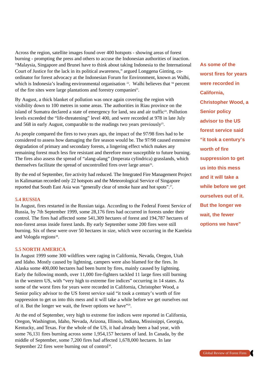Across the region, satellite images found over 400 hotspots - showing areas of forest burning - prompting the press and others to accuse the Indonesian authorities of inaction. "Malaysia, Singapore and Brunei have to think about taking Indonesia to the International Court of Justice for the lack in its political awareness," argued Longgena Ginting, coordinator for forest advocacy at the Indonesian Forum for Environment, known as Walhi. which is Indonesia's leading environmental organisation  $2^2$ . Walhi believes that  $94$  percent of the fire sites were large plantations and forestry companies<sup>23</sup>.

By August, a thick blanket of pollution was once again covering the region with visibility down to 100 metres in some areas. The authorities in Riau province on the island of Sumatra declared a state of emergency for land, sea and air traffic<sup>24</sup>. Pollution levels exceeded the "life-threatening" level 400, and were recorded at 978 in late July and 568 in early August, comparable to the readings two years previously<sup>25</sup>.

As people compared the fires to two years ago, the impact of the 97/98 fires had to be considered to assess how damaging the fire season would be. The 97/98 caused extensive degradation of primary and secondary forests, a lingering effect which makes any remaining forest much less fire resistant and therefore more susceptible to future burning. The fires also assess the spread of "alang-alang" (Imperata cylindrica) grasslands, which themselves facilitate the spread of uncontrolled fires over large areas<sup>26</sup>.

By the end of September, fire activity had reduced. The Integrated Fire Management Project in Kalimantan recorded only 22 hotspots and the Meteorological Service of Singapore reported that South East Asia was "generally clear of smoke haze and hot spots".<sup>27</sup>.

#### **5.4 RUSSIA**

In August, fires restarted in the Russian taiga. According to the Federal Forest Service of Russia, by 7th September 1999, some 28,176 fires had occurred in forests under their control. The fires had affected some 541,309 hectares of forest and 194,787 hectares of non-forest areas inside forest lands. By early September some 200 fires were still burning. Six of these were over 50 hectares in size, which were occurring in the Kareleia and Vologda regions<sup>28</sup>.

#### **5.5 NORTH AMERICA**

In August 1999 some 300 wildfires were raging in California, Nevada, Oregon, Utah and Idaho. Mostly caused by lightning, campers were also blamed for the fires. In Alaska some 400,000 hectares had been burnt by fires, mainly caused by lightning. Early the following month, over 11,000 fire-fighters tackled 11 large fires still burning in the western US, with "very high to extreme fire indices" occurring in 14 states. As some of the worst fires for years were recorded in California, Christopher Wood, a Senior policy advisor to the US forest service said "it took a century's worth of fire suppression to get us into this mess and it will take a while before we get ourselves out of it. But the longer we wait, the fewer options we have"29.

At the end of September, very high to extreme fire indices were reported in California, Oregon, Washington, Idaho, Nevada, Arizona, Illinois, Indiana, Mississippi, Georgia, Kentucky, and Texas. For the whole of the US, it had already been a bad year, with some 76,131 fires burning across some 1,954,157 hectares of land. In Canada, by the middle of September, some 7,200 fires had affected 1,678,000 hectares. In late September 22 fires were burning out of control $30$ .

**As some of the worst fires for years were recorded in California, Christopher Wood, a Senior policy advisor to the US forest service said "it took a century's worth of fire suppression to get us into this mess and it will take a while before we get ourselves out of it. But the longer we wait, the fewer options we have"**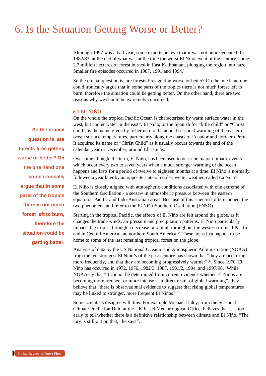### 6. Is the Situation Getting Worse or Better?

Although 1997 was a bad year, some experts believe that it was not unprecedented. In 1982/83, at the end of what was at the time the worst El Niño event of the century, some 2.7 million hectares of forest burned in East Kalimantan, plunging the region into haze. Smaller fire episodes occurred in 1987, 1991 and 1994.<sup>31</sup>

So the crucial question is, are forests fires getting worse or better? On the one hand one could ironically argue that in some parts of the tropics there is not much forest left to burn, therefore the situation could be getting better. On the other hand, there are two reasons why we should be extremely concerned.

#### **6.1 EL NIÑO**

On the whole the tropical Pacific Ocean is characterised by warm surface water in the west, but cooler water in the east<sup>32</sup>. El Niño, or the Spanish for "little child" or "Christ child", is the name given by fishermen to the annual seasonal warming of the eastern ocean surface temperatures, particularly along the coasts of Ecuador and northern Peru. It acquired its name of "Christ Child" as it usually occurs towards the end of the calendar year in December, around Christmas.

Over time, though, the term, El Niño, has been used to describe major climatic events which occur every two to seven years when a much stronger warming of the ocean happens and lasts for a period of twelve to eighteen months at a time. El Niño is normally followed a year later by an opposite state of cooler, wetter weather, called La Niña<sup>33</sup>.

El Niño is closely aligned with atmospheric conditions associated with one extreme of the Southern Oscillation - a seesaw in atmospheric pressure between the eastern equatorial Pacific and Indo-Australian areas. Because of this scientists often connect the two phenomena and refer to the El Niño-Southern Oscillation (ENSO).

Starting in the tropical Pacific, the effects of El Niño are felt around the globe, as it changes the trade winds, air pressure and precipitation patterns. El Niño particularly impacts the tropics through a decrease in rainfall throughout the western tropical Pacific and in Central America and northern South America.<sup>34</sup> These areas just happen to be home to some of the last remaining tropical forest on the globe.

Analysis of data by the US National Oceanic and Atmospheric Administration (NOAA) from the ten strongest El Niño's of the past century has shown that "they are occurring more frequently, and that they are becoming progressively warmer" <sup>35</sup>. Since 1970, El Niño has occurred in 1972, 1976, 1982/3, 1987, 1991/2, 1994, and 1997/98. While NOAAsay that "it cannot be determined from current evidence whether El Niños are becoming more frequent or more intense as a direct result of global warming", they believe that "there is observational evidence to suggest that rising global temperatures may be linked to stronger, more frequent El Niños<sup>36</sup>."

Some scientists disagree with this. For example Michael Daley, from the Seasonal Climate Prediction Unit, at the UK-based Meteorological Office, believes that it is too early to tell whether there is a definitive relationship between climate and El Niño. "The jury is still out on that," he says $37$ .

**So the crucial question is, are forests fires getting worse or better? On the one hand one could ironically argue that in some parts of the tropics there is not much forest left to burn, therefore the situation could be getting better.**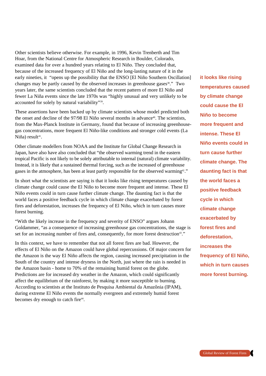Other scientists believe otherwise. For example, in 1996, Kevin Trenberth and Tim Hoar, from the National Centre for Atmospheric Research in Boulder, Colorado, examined data for over a hundred years relating to El Niño. They concluded that, because of the increased frequency of El Niño and the long-lasting nature of it in the early nineties, it "opens up the possibility that the ENSO [El Niño Southern Oscillation] changes may be partly caused by the observed increases in greenhouse gases<sup>38</sup>." Two years later, the same scientists concluded that the recent pattern of more El Niño and fewer La Niña events since the late 1970s was "highly unusual and very unlikely to be accounted for solely by natural variability"39.

These assertions have been backed up by climate scientists whose model predicted both the onset and decline of the  $97/98$  El Niño several months in advance<sup>40</sup>. The scientists, from the Max-Planck Institute in Germany, found that because of increasing greenhousegas concentrations, more frequent El Niño-like conditions and stronger cold events (La  $N$ iña) result $41$ .

Other climate modellers from NOAA and the Institute for Global Change Research in Japan, have also have also concluded that "the observed warming trend in the eastern tropical Pacific is not likely to be solely attributable to internal (natural) climate variability. Instead, it is likely that a sustained thermal forcing, such as the increased of greenhouse gases in the atmosphere, has been at least partly responsible for the observed warming<sup>42</sup>."

In short what the scientists are saying is that it looks like rising temperatures caused by climate change could cause the El Niño to become more frequent and intense. These El Niño events could in turn cause further climate change. The daunting fact is that the world faces a positive feedback cycle in which climate change exacerbated by forest fires and deforestation, increases the frequency of El Niño, which in turn causes more forest burning.

"With the likely increase in the frequency and severity of ENSO" argues Johann Goldammer, "as a consequence of increasing greenhouse gas concentrations, the stage is set for an increasing number of fires and, consequently, for more forest destruction<sup>43</sup>."

In this context, we have to remember that not all forest fires are bad. However, the effects of El Niño on the Amazon could have global repercussions. Of major concern for the Amazon is the way El Niño affects the region, causing increased precipitation in the South of the country and intense dryness in the North, just where the rain is needed in the Amazon basin - home to 70% of the remaining humid forest on the globe. Predictions are for increased dry weather in the Amazon, which could significantly affect the equilibrium of the rainforest, by making it more susceptible to burning. According to scientists at the Instituto de Pesquisa Ambiental da Amazônia (IPAM), during extreme El Niño events the normally evergreen and extremely humid forest becomes dry enough to catch fire<sup>44</sup>.

**it looks like rising temperatures caused by climate change could cause the El Niño to become more frequent and intense. These El Niño events could in turn cause further climate change. The daunting fact is that the world faces a positive feedback cycle in which climate change exacerbated by forest fires and deforestation, increases the frequency of El Niño, which in turn causes more forest burning.**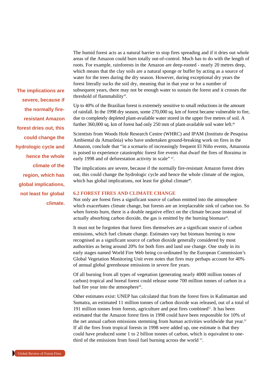The humid forest acts as a natural barrier to stop fires spreading and if it dries out whole areas of the Amazon could burn totally out-of-control. Much has to do with the length of roots. For example, rainforests in the Amazon are deep-rooted - nearly 20 metres deep, which means that the clay soils are a natural sponge or buffer by acting as a source of water for the trees during the dry season. However, during exceptional dry years the forest literally sucks the soil dry, meaning that in that year or for a number of subsequent years, there may not be enough water to sustain the forest and it crosses the threshold of flammability<sup>45</sup>.

Up to 40% of the Brazilian forest is extremely sensitive to small reductions in the amount of rainfall. In the 1998 dry season, some 270,000 sq. km of forest became vulnerable to fire, due to completely depleted plant-available water stored in the upper five metres of soil. A further 360,000 sq. km of forest had only 250 mm of plant-available soil water left.<sup>46</sup>

Scientists from Woods Hole Research Centre (WHRC) and IPAM (Instituto de Pesquisa Ambiental da Amazônia) who have undertaken ground-breaking work on fires in the Amazon, conclude that "in a scenario of increasingly frequent El Niño events, Amazonia is poised to experience catastrophic forest fire events that dwarf the fires of Roraima in early 1998 and of deforestation activity in scale" <sup>47</sup>.

The implications are severe, because if the normally fire-resistant Amazon forest dries out, this could change the hydrologic cycle and hence the whole climate of the region, which has global implications, not least for global climate<sup>48</sup>.

#### **6.2 FOREST FIRES AND CLIMATE CHANGE**

Not only are forest fires a significant source of carbon emitted into the atmosphere which exacerbates climate change, but forests are an irreplaceable sink of carbon too. So when forests burn, there is a double negative effect on the climate because instead of actually absorbing carbon dioxide, the gas is emitted by the burning biomass<sup>49</sup>.

It must not be forgotten that forest fires themselves are a significant source of carbon emissions, which fuel climate change. Estimates vary but biomass burning is now recognised as a significant source of carbon dioxide generally considered by most authorities as being around 20% for both fires and land use change. One study in its early stages named World Fire Web being co-ordinated by the European Commission's Global Vegetation Monitoring Unit even notes that fires may perhaps account for 40% of annual global greenhouse emissions in severe fire years.

Of all burning from all types of vegetation (generating nearly 4000 million tonnes of carbon) tropical and boreal forest could release some 700 million tonnes of carbon in a bad fire year into the atmosphere<sup>50</sup>.

Other estimates exist: UNEP has calculated that from the forest fires in Kalimantan and Sumatra, an estimated 11 million tonnes of carbon dioxide was released, out of a total of 191 million tonnes from forests, agriculture and peat fires combined<sup>51</sup>. It has been estimated that the Amazon forest fires in 1998 could have been responsible for 10% of the net annual carbon emissions stemming from human activities worldwide that year.<sup>52</sup> If all the fires from tropical forests in 1998 were added up, one estimate is that they could have produced some 1 to 2 billion tonnes of carbon, which is equivalent to onethird of the emissions from fossil fuel burning across the world <sup>53</sup>.

**severe, because if the normally fireresistant Amazon forest dries out, this could change the hydrologic cycle and hence the whole climate of the region, which has global implications, not least for global climate.**

**The implications are**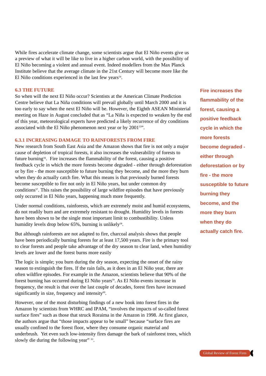While fires accelerate climate change, some scientists argue that El Niño events give us a preview of what it will be like to live in a higher carbon world, with the possibility of El Niño becoming a violent and annual event. Indeed modellers from the Max Planck Institute believe that the average climate in the 21st Century will become more like the El Niño conditions experienced in the last few years $54$ .

#### **6.3 THE FUTURE**

So when will the next El Niño occur? Scientists at the American Climate Prediction Centre believe that La Niña conditions will prevail globally until March 2000 and it is too early to say when the next El Niño will be. However, the Eighth ASEAN Ministerial meeting on Haze in August concluded that as "La Niña is expected to weaken by the end of this year, meteorological experts have predicted a likely recurrence of dry conditions associated with the El Niño phenomenon next year or by 200155".

#### **6.3.1 INCREASING DAMAGE TO RAINFORESTS FROM FIRE**

New research from South East Asia and the Amazon shows that fire is not only a major cause of depletion of tropical forests, it also increases the vulnerability of forests to future burning<sup>56</sup>. Fire increases the flammability of the forest, causing a positive feedback cycle in which the more forests become degraded - either through deforestation or by fire - the more susceptible to future burning they become, and the more they burn when they do actually catch fire. What this means is that previously burned forests become susceptible to fire not only in El Niño years, but under common dry conditions<sup>57</sup>. This raises the possibility of large wildfire episodes that have previously only occurred in El Niño years, happening much more frequently.

Under normal conditions, rainforests, which are extremely moist and humid ecosystems, do not readily burn and are extremely resistant to drought. Humidity levels in forests have been shown to be the single most important limit to combustibility. Unless humidity levels drop below  $65\%$ , burning is unlikely<sup>58</sup>.

But although rainforests are not adapted to fire, charcoal analysis shows that people have been periodically burning forests for at least 17,500 years. Fire is the primary tool to clear forests and people take advantage of the dry season to clear land, when humidity levels are lower and the forest burns more easily

The logic is simple; you burn during the dry season, expecting the onset of the rainy season to extinguish the fires. If the rain fails, as it does in an El Niño year, there are often wildfire episodes. For example in the Amazon, scientists believe that 90% of the forest burning has occurred during El Niño years<sup>59</sup>. As El Niño events increase in frequency, the result is that over the last couple of decades, forest fires have increased significantly in size, frequency and intensity $60$ .

However, one of the most disturbing findings of a new book into forest fires in the Amazon by scientists from WHRC and IPAM, "involves the impacts of so-called forest surface fires" such as those that struck Roraima in the Amazon in 1998. At first glance, the authors argue that "those impacts appear to be small" because "surface fires are usually confined to the forest floor, where they consume organic material and underbrush. Yet even such low-intensity fires damage the bark of rainforest trees, which slowly die during the following year" <sup>61</sup>.

**Fire increases the flammability of the forest, causing a positive feedback cycle in which the more forests become degraded either through deforestation or by fire - the more susceptible to future burning they become, and the more they burn when they do actually catch fire.**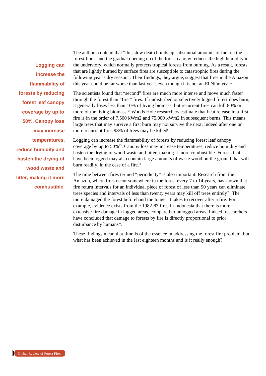**Logging can increase the flammability of forests by reducing forest leaf canopy coverage by up to 50%. Canopy loss may increase temperatures, reduce humidity and hasten the drying of wood waste and litter, making it more combustible.** The authors contend that "this slow death builds up substantial amounts of fuel on the forest floor, and the gradual opening up of the forest canopy reduces the high humidity in the understory, which normally protects tropical forests from burning. As a result, forests that are lightly burned by surface fires are susceptible to catastrophic fires during the following year's dry season". Their findings, they argue, suggest that fires in the Amazon this year could be far worse than last year, even though it is not an El Niño year<sup>62</sup>.

The scientists found that "second" fires are much more intense and move much faster through the forest than "first" fires. If undisturbed or selectively logged forest does burn, it generally loses less than 10% of living biomass, but recurrent fires can kill 80% or more of the living biomass.<sup>63</sup> Woods Hole researchers estimate that heat release in a first fire is in the order of 7,500 kWm2 and 75,000 kWm2 in subsequent burns. This means large trees that may survive a first burn may not survive the next. Indeed after one or more recurrent fires  $98\%$  of trees may be killed<sup>64</sup>.

Logging can increase the flammability of forests by reducing forest leaf canopy coverage by up to 50%65. Canopy loss may increase temperatures, reduce humidity and hasten the drying of wood waste and litter, making it more combustible. Forests that have been logged may also contain large amounts of waste wood on the ground that will burn readily, in the case of a fire.<sup>66</sup>

The time between fires termed "periodicity" is also important. Research from the Amazon, where fires occur somewhere in the forest every 7 to 14 years, has shown that fire return intervals for an individual piece of forest of less than 90 years can eliminate trees species and intervals of less than twenty years may kill off trees entirely $67$ . The more damaged the forest beforehand the longer it takes to recover after a fire. For example, evidence exists from the 1982-83 fires in Indonesia that there is more extensive fire damage in logged areas, compared to unlogged areas. Indeed, researchers have concluded that damage to forests by fire is directly proportional to prior disturbance by humans<sup>68</sup>.

These findings mean that time is of the essence in addressing the forest fire problem, but what has been achieved in the last eighteen months and is it really enough?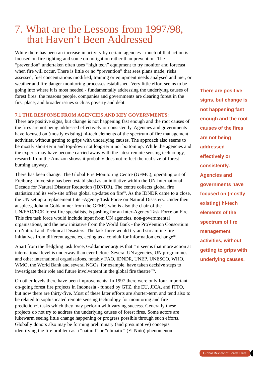### 7. What are the Lessons from 1997/98, that Haven't Been Addressed

While there has been an increase in activity by certain agencies - much of that action is focused on fire fighting and some on mitigation rather than prevention. The "prevention" undertaken often uses "high tech" equipment to try monitor and forecast when fire will occur. There is little or no "prevention" that sees plans made, risks assessed, fuel concentrations modified, training or equipment needs analysed and met, or weather and fire danger monitoring processes established. Very little effort seems to be going into where it is most needed - fundamentally addressing the underlying causes of forest fires: the reasons people, companies and governments are clearing forest in the first place, and broader issues such as poverty and debt.

#### **7.1 THE RESPONSE FROM AGENCIES AND KEY GOVERNMENTS:**

There are positive signs, but change is not happening fast enough and the root causes of the fires are not being addressed effectively or consistently. Agencies and governments have focused on (mostly existing) hi-tech elements of the spectrum of fire management activities, without getting to grips with underlying causes. The approach also seems to be mostly short-term and top-down not long-term nor bottom up. While the agencies and the experts may have become carried away with the latest remote sensing technology, research from the Amazon shows it probably does not reflect the real size of forest burning anyway.

There has been change. The Global Fire Monitoring Centre (GFMC), operating out of Freiburg University has been established as an initiative within the UN International Decade for Natural Disaster Reduction (IDNDR). The centre collects global fire statistics and its web-site offers global up-dates on fire<sup>69</sup>. As the IDNDR came to a close, the UN set up a replacement Inter-Agency Task Force on Natural Disasters. Under their auspices, Johann Goldammer from the GFMC who is also the chair of the UN/FAO/ECE forest fire specialists, is pushing for an Inter-Agency Task Force on Fire. This fire task force would include input from UN agencies, non-governmental organisations, and the new initiative from the World Bank - the ProVention Consortium on Natural and Technical Disasters. The task force would try and streamline fire initiatives from different agencies, acting as a conduit for information exchange<sup>70</sup>.

Apart from the fledgling task force, Goldammer argues that " it seems that more action at international level is underway than ever before. Several UN agencies, UN programmes and other international organisations, notably FAO, IDNDR, UNEP, UNESCO, WHO, WMO, the World Bank and several NGOs, for example, have taken decisive steps to investigate their role and future involvement in the global fire theatre"<sup>71</sup>.

On other levels there have been improvements: In 1997 there were only four important on-going forest fire projects in Indonesia - funded by GTZ, the EU, JICA, and ITTO, but now there are thirty-five. Most of these later efforts are shorter-term and tend also to be related to sophisticated remote sensing technology for monitoring and fire prediction<sup> $72$ </sup>, tasks which they may perform with varying success. Generally these projects do not try to address the underlying causes of forest fires. Some actors are lukewarm seeing little change happening or progress possible through such efforts. Globally donors also may be forming preliminary (and presumptive) concepts identifying the fire problem as a "natural" or "climatic" (El Niño) phenomenon.

**There are positive signs, but change is not happening fast enough and the root causes of the fires are not being addressed effectively or consistently. Agencies and governments have focused on (mostly existing) hi-tech elements of the spectrum of fire management activities, without getting to grips with underlying causes.**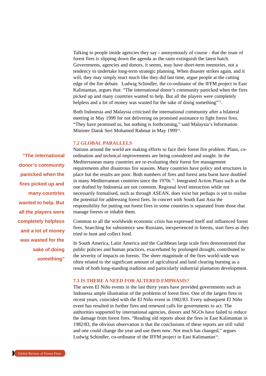Talking to people inside agencies they say - anonymously of course - that the issue of forest fires is slipping down the agenda as the rains extinguish the latest batch. Governments, agencies and donors, it seems, may have short-term memories, not a tendency to undertake long-term strategic planning. When disaster strikes again, and it will, they may simply react much like they did last time, argue people at the cutting edge of the fire debate. Ludwig Schindler, the co-ordinator of the IFFM project in East Kalimantan, argues that: "The international donor's community panicked when the fires picked up and many countries wanted to help. But all the players were completely helpless and a lot of money was wasted for the sake of doing something"<sup>73</sup>.

Both Indonesia and Malaysia criticised the international community after a bilateral meeting in May 1999 for not delivering on promised assistance to fight forest fires. "They have promised us, but nothing is forthcoming," said Malaysia's Information Minister Datuk Seri Mohamed Rahmat in May 199974.

#### **7.2 GLOBAL PARALLELS**

Nations around the world are making efforts to face their forest fire problem. Plans, coordination and technical improvements are being considered and sought. In the Mediterranean many countries are re-evaluating their forest fire management requirements after disastrous fire seasons. Many countries have policy and structures in place but the results are poor. Both numbers of fires and forest area burnt have doubled in many Mediterranean countries since the 1970s  $\frac{75}{15}$ . Integrated Action Plans such as the one drafted by Indonesia are not common. Regional level interaction while not necessarily formalised, such as through ASEAN, does exist but perhaps is yet to realise the potential for addressing forest fires. In concert with South East Asia the responsibility for putting out forest fires in some countries is separated from those that manage forests or inhabit them.

Common to all the worldwide economic crisis has expressed itself and influenced forest fires. Searching for subsistence saw Russians, inexperienced in forests, start fires as they tried to hunt and collect food.

In South America, Latin America and the Caribbean large scale fires demonstrated that public policies and human practices, exacerbated by prolonged drought, contributed to the severity of impacts on forests. The sheer magnitude of the fires world-wide was often related to the significant amount of agricultural and land clearing burning as a result of both long-standing tradition and particularly industrial plantation development.

#### **7.3 IS THERE A NEED FOR ALTERED EMPHASIS?**

The seven El Niño events in the last thirty years have provided governments such as Indonesia ample illustration of the problems of forest fires. One of the largest fires in recent years, coincided with the El Niño event in 1982/83. Every subsequent El Niño event has resulted in further fires and renewed calls for governments to act. The authorities supported by international agencies, donors and NGOs have failed to reduce the damage from forest fires. "Reading old reports about the fires in East Kalimantan in 1982/83, the obvious observation is that the conclusions of these reports are still valid and one could change the year and use them now. Not much has changed," argues Ludwig Schindler, co-ordinator of the IFFM project in East Kalimantan<sup>76</sup>.

**"The international donor's community panicked when the fires picked up and many countries wanted to help. But all the players were completely helpless and a lot of money was wasted for the sake of doing something"**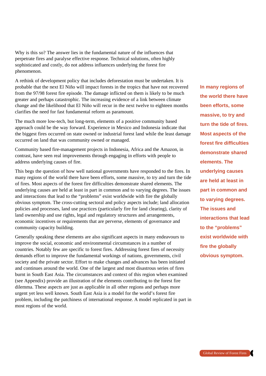Why is this so? The answer lies in the fundamental nature of the influences that perpetrate fires and paralyse effective response. Technical solutions, often highly sophisticated and costly, do not address influences underlying the forest fire phenomenon.

A rethink of development policy that includes deforestation must be undertaken. It is probable that the next El Niño will impact forests in the tropics that have not recovered from the 97/98 forest fire episode. The damage inflicted on them is likely to be much greater and perhaps catastrophic. The increasing evidence of a link between climate change and the likelihood that El Niño will recur in the next twelve to eighteen months clarifies the need for fast fundamental reform as paramount.

The much more low-tech, but long-term, elements of a positive community based approach could be the way forward. Experience in Mexico and Indonesia indicate that the biggest fires occurred on state owned or industrial forest land while the least damage occurred on land that was community owned or managed.

Community based fire-management projects in Indonesia, Africa and the Amazon, in contrast, have seen real improvements through engaging in efforts with people to address underlying causes of fire.

This begs the question of how well national governments have responded to the fires. In many regions of the world there have been efforts, some massive, to try and turn the tide of fires. Most aspects of the forest fire difficulties demonstrate shared elements. The underlying causes are held at least in part in common and to varying degrees. The issues and interactions that lead to the "problems" exist worldwide with fire the globally obvious symptom. The cross-cutting sectoral and policy aspects include; land allocation policies and processes, land use practices (particularly fire for land clearing), clarity of land ownership and use rights, legal and regulatory structures and arrangements, economic incentives or requirements that are perverse, elements of governance and community capacity building.

Generally speaking these elements are also significant aspects in many endeavours to improve the social, economic and environmental circumstances in a number of countries. Notably few are specific to forest fires. Addressing forest fires of necessity demands effort to improve the fundamental workings of nations, governments, civil society and the private sector. Effort to make changes and advances has been initiated and continues around the world. One of the largest and most disastrous series of fires burnt in South East Asia. The circumstances and context of this region when examined (see Appendix) provide an illustration of the elements contributing to the forest fire dilemma. These aspects are just as applicable in all other regions and perhaps more urgent yet less well known. South East Asia is a model for the world's forest fire problem, including the patchiness of international response. A model replicated in part in most regions of the world.

**In many regions of the world there have been efforts, some massive, to try and turn the tide of fires. Most aspects of the forest fire difficulties demonstrate shared elements. The underlying causes are held at least in part in common and to varying degrees. The issues and interactions that lead to the "problems" exist worldwide with fire the globally obvious symptom.**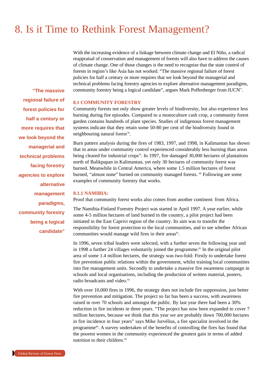## 8. Is it Time to Rethink Forest Management?

With the increasing evidence of a linkage between climate change and El Niño, a radical reappraisal of conservation and management of forests will also have to address the causes of climate change. One of those changes is the need to recognise that the state control of forests in region's like Asia has not worked. "The massive regional failure of forest policies for half a century or more requires that we look beyond the managerial and technical problems facing forestry agencies to explore alternative management paradigms, community forestry being a logical candidate", argues Mark Poffenberger from IUCN<sup>7</sup>.

#### **8.1 COMMUNITY FORESTRY**

Community forests not only show greater levels of biodiversity, but also experience less burning during fire episodes. Compared to a monoculture cash crop, a community forest garden contains hundreds of plant species. Studies of indigenous forest management systems indicate that they retain some 50-80 per cent of the biodiversity found in neighbouring natural forest<sup>78</sup>.

Burn pattern analysis during the fires of 1983, 1997, and 1998, in Kalimantan has shown that in areas under community control experienced considerably less burning than areas being cleared for industrial crops<sup>79</sup>. In 1997, fire damaged 30,000 hectares of plantations north of Balikpapan in Kalimantan, yet only 30 hectares of community forest was burned. Meanwhile in Central America, where some 1.5 million hectares of forest burned, "almost none" burned on community managed forests. 80 Following are some examples of community forestry that works.

#### **8.1.1 NAMIBIA:**

Proof that community forest works also comes from another continent: from Africa.

The Namibia-Finland Forestry Project was started in April 1997. A year earlier, while some 4-5 million hectares of land burned in the country, a pilot project had been initiated in the East Caprivi region of the country. Its aim was to transfer the responsibility for forest protection to the local communities, and to see whether African communities would manage wild fires in their areas<sup>81</sup>.

In 1996, seven tribal leaders were selected, with a further seven the following year and in 1998 a further 24 villages voluntarily joined the programme.<sup>82</sup> In the original pilot area of some 1.4 million hectares, the strategy was two-fold: Firstly to undertake forest fire prevention public relations within the government, whilst training local communities into fire management units. Secondly to undertake a massive fire awareness campaign in schools and local organisations, including the production of written material, posters, radio broadcasts and video.<sup>83</sup>

With over 10,000 fires in 1996, the strategy does not include fire suppression, just better fire prevention and mitigation. The project so far has been a success, with awareness raised in over 70 schools and amongst the public. By last year there had been a 30% reduction in fire incidents in three years. "The project has now been expanded to cover 7 million hectares, because we think that this year we are probably down 700,000 hectares in fire incidence in four years" says Mike Jurvélius, a fire specialist involved in the programme84. A survey undertaken of the benefits of controlling the fires has found that the poorest women in the community experienced the greatest gain in terms of added nutrition to their children.<sup>85</sup>

**"The massive regional failure of forest policies for half a century or more requires that we look beyond the managerial and technical problems facing forestry agencies to explore alternative management paradigms, community forestry being a logical candidate"**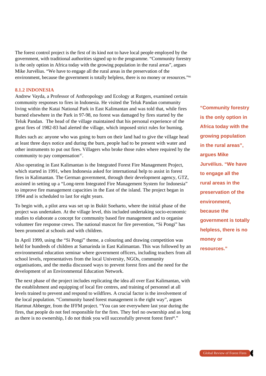The forest control project is the first of its kind not to have local people employed by the government, with traditional authorities signed up to the programme. "Community forestry is the only option in Africa today with the growing population in the rural areas", argues Mike Jurvélius. "We have to engage all the rural areas in the preservation of the environment, because the government is totally helpless, there is no money or resources."86

#### **8.1.2 INDONESIA**

Andrew Vayda, a Professor of Anthropology and Ecology at Rutgers, examined certain community responses to fires in Indonesia. He visited the Teluk Pandan community living within the Kutai National Park in East Kalimantan and was told that, while fires burned elsewhere in the Park in 97-98, no forest was damaged by fires started by the Teluk Pandan. The head of the village maintained that his personal experience of the great fires of 1982-83 had alerted the village, which imposed strict rules for burning.

Rules such as: anyone who was going to burn on their land had to give the village head at least three days notice and during the burn, people had to be present with water and other instruments to put out fires. Villagers who broke those rules where required by the community to pay compensation<sup>87</sup>.

Also operating in East Kalimantan is the Integrated Forest Fire Management Project, which started in 1991, when Indonesia asked for international help to assist in forest fires in Kalimantan. The German government, through their development agency, GTZ, assisted in setting up a "Long-term Integrated Fire Management System for Indonesia" to improve fire management capacities in the East of the island. The project began in 1994 and is scheduled to last for eight years.

To begin with, a pilot area was set up in Bukit Soeharto, where the initial phase of the project was undertaken. At the village level, this included undertaking socio-economic studies to elaborate a concept for community based fire management and to organise volunteer fire response crews. The national mascot for fire prevention, "Si Pongi" has been promoted at schools and with children.

In April 1999, using the "Si Pongi" theme, a colouring and drawing competition was held for hundreds of children at Samarinda in East Kalimantan. This was followed by an environmental education seminar where government officers, including teachers from all school levels, representatives from the local University, NGOs, community organisations, and the media discussed ways to prevent forest fires and the need for the development of an Environmental Education Network.

The next phase of the project includes replicating the idea all over East Kalimantan, with the establishment and equipping of local fire centres, and training of personnel at all levels trained to prevent and respond to wildfires. A crucial factor is the involvement of the local population. "Community based forest management is the right way", argues Hartmut Abberger, from the IFFM project. "You can see everywhere last year during the fires, that people do not feel responsible for the fires. They feel no ownership and as long as there is no ownership, I do not think you will successfully prevent forest fires<sup>88</sup>."

**"Community forestry is the only option in Africa today with the growing population in the rural areas", argues Mike Jurvélius. "We have to engage all the rural areas in the preservation of the environment, because the government is totally helpless, there is no money or resources."**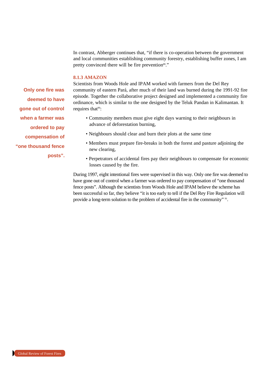In contrast, Abberger continues that, "if there is co-operation between the government and local communities establishing community forestry, establishing buffer zones, I am pretty convinced there will be fire prevention<sup>89</sup>."

#### **8.1.3 AMAZON**

**Only one fire was deemed to have gone out of control when a farmer was ordered to pay compensation of "one thousand fence**

**posts".**

Scientists from Woods Hole and IPAM worked with farmers from the Del Rey community of eastern Pará, after much of their land was burned during the 1991-92 fire episode. Together the collaborative project designed and implemented a community fire ordinance, which is similar to the one designed by the Teluk Pandan in Kalimantan. It requires that<sup>90</sup>:

- Community members must give eight days warning to their neighbours in advance of deforestation burning,
- Neighbours should clear and burn their plots at the same time
- Members must prepare fire-breaks in both the forest and pasture adjoining the new clearing,
- Perpetrators of accidental fires pay their neighbours to compensate for economic losses caused by the fire.

During 1997, eight intentional fires were supervised in this way. Only one fire was deemed to have gone out of control when a farmer was ordered to pay compensation of "one thousand fence posts". Although the scientists from Woods Hole and IPAM believe the scheme has been successful so far, they believe "it is too early to tell if the Del Rey Fire Regulation will provide a long-term solution to the problem of accidental fire in the community" 91.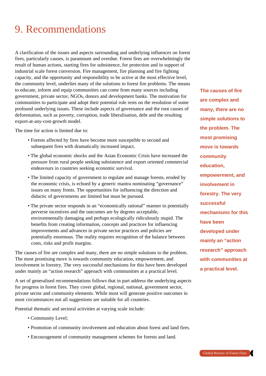# 9. Recommendations

A clarification of the issues and aspects surrounding and underlying influences on forest fires, particularly causes, is paramount and overdue. Forest fires are overwhelmingly the result of human actions, starting fires for subsistence, for protection and in support of industrial scale forest conversion. Fire management, fire planning and fire fighting capacity, and the opportunity and responsibility to be active at the most effective level, the community level, underlies many of the solutions to forest fire problems. The means to educate, inform and equip communities can come from many sources including government, private sector, NGOs, donors and development banks. The motivation for communities to participate and adopt their potential role rests on the resolution of some profound underlying issues. These include aspects of governance and the root causes of deforestation, such as poverty, corruption, trade liberalisation, debt and the resulting export-at-any-cost-growth model.

The time for action is limited due to:

- Forests affected by fires have become more susceptible to second and subsequent fires with dramatically increased impact.
- The global economic shocks and the Asian Economic Crisis have increased the pressure from rural people seeking subsistence and export oriented commercial endeavours in countries seeking economic survival.
- The limited capacity of government to regulate and manage forests, eroded by the economic crisis, is echoed by a generic mantra nominating "governance" issues on many fronts. The opportunities for influencing the direction and didactic of governments are limited but must be pursued.
- The private sector responds in an "economically rational" manner to potentially perverse incentives and the outcomes are by degrees acceptable, environmentally damaging and perhaps ecologically ridiculously stupid. The benefits from creating information, concepts and practices for influencing improvements and advances in private sector practices and policies are potentially enormous. The reality requires recognition of the balance between costs, risks and profit margins.

The causes of fire are complex and many, there are no simple solutions to the problem. The most promising move is towards community education, empowerment, and involvement in forestry. The very successful mechanisms for this have been developed under mainly an "action research" approach with communities at a practical level.

A set of generalised recommendations follows that in part address the underlying aspects for progress in forest fires. They cover global, regional, national, government sector, private sector and community elements. While most will generate positive outcomes in most circumstances not all suggestions are suitable for all countries.

Potential thematic and sectoral activities at varying scale include:

- Community Level;
- Promotion of community involvement and education about forest and land fires.
- Encouragement of community management schemes for forests and land.

**The causes of fire are complex and many, there are no simple solutions to the problem. The most promising move is towards community education, empowerment, and involvement in forestry. The very successful mechanisms for this have been developed under mainly an "action research" approach with communities at a practical level.**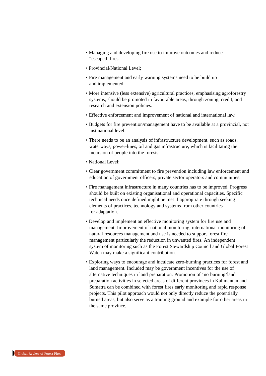- Managing and developing fire use to improve outcomes and reduce "escaped' fires.
- Provincial/National Level;
- Fire management and early warning systems need to be build up and implemented
- More intensive (less extensive) agricultural practices, emphasising agroforestry systems, should be promoted in favourable areas, through zoning, credit, and research and extension policies.
- Effective enforcement and improvement of national and international law.
- Budgets for fire prevention/management have to be available at a provincial, not just national level.
- There needs to be an analysis of infrastructure development, such as roads, waterways, power-lines, oil and gas infrastructure, which is facilitating the incursion of people into the forests.
- National Level;
- Clear government commitment to fire prevention including law enforcement and education of government officers, private sector operators and communities.
- Fire management infrastructure in many countries has to be improved. Progress should be built on existing organisational and operational capacities. Specific technical needs once defined might be met if appropriate through seeking elements of practices, technology and systems from other countries for adaptation.
- Develop and implement an effective monitoring system for fire use and management. Improvement of national monitoring, international monitoring of natural resources management and use is needed to support forest fire management particularly the reduction in unwanted fires. An independent system of monitoring such as the Forest Stewardship Council and Global Forest Watch may make a significant contribution.
- Exploring ways to encourage and inculcate zero-burning practices for forest and land management. Included may be government incentives for the use of alternative techniques in land preparation. Promotion of 'no burning'land preparation activities in selected areas of different provinces in Kalimantan and Sumatra can be combined with forest fires early monitoring and rapid response projects. This pilot approach would not only directly reduce the potentially burned areas, but also serve as a training ground and example for other areas in the same province.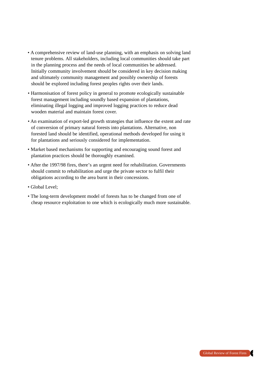- A comprehensive review of land-use planning, with an emphasis on solving land tenure problems. All stakeholders, including local communities should take part in the planning process and the needs of local communities be addressed. Initially community involvement should be considered in key decision making and ultimately community management and possibly ownership of forests should be explored including forest peoples rights over their lands.
- Harmonisation of forest policy in general to promote ecologically sustainable forest management including soundly based expansion of plantations, eliminating illegal logging and improved logging practices to reduce dead wooden material and maintain forest cover.
- An examination of export-led growth strategies that influence the extent and rate of conversion of primary natural forests into plantations. Alternative, non forested land should be identified, operational methods developed for using it for plantations and seriously considered for implementation.
- Market based mechanisms for supporting and encouraging sound forest and plantation practices should be thoroughly examined.
- After the 1997/98 fires, there's an urgent need for rehabilitation. Governments should commit to rehabilitation and urge the private sector to fulfil their obligations according to the area burnt in their concessions.
- Global Level;
- The long-term development model of forests has to be changed from one of cheap resource exploitation to one which is ecologically much more sustainable.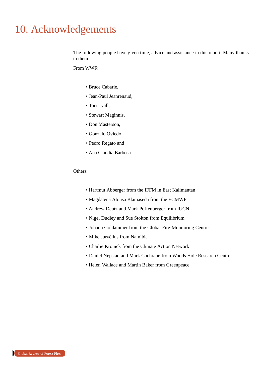# 10. Acknowledgements

The following people have given time, advice and assistance in this report. Many thanks to them.

From WWF:

- Bruce Cabarle,
- Jean-Paul Jeanrenaud,
- Tori Lyall,
- Stewart Maginnis,
- Don Masterson,
- Gonzalo Oviedo,
- Pedro Regato and
- Ana Claudia Barbosa.

#### Others:

- Hartmut Abberger from the IFFM in East Kalimantan
- Magdalena Alonsa Blamaseda from the ECMWF
- Andrew Deutz and Mark Poffenberger from IUCN
- Nigel Dudley and Sue Stolton from Equilibrium
- Johann Goldammer from the Global Fire-Monitoring Centre.
- Mike Jurvélius from Namibia
- Charlie Kronick from the Climate Action Network
- Daniel Nepstad and Mark Cochrane from Woods Hole Research Centre
- Helen Wallace and Martin Baker from Greenpeace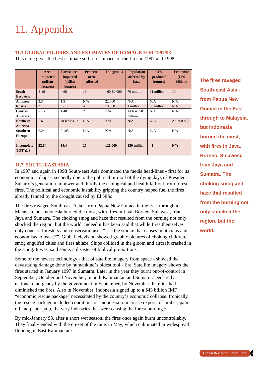# 11. Appendix

#### **11.1 GLOBAL FIGURES AND ESTIMATES OF DAMAGE FOR 1997/98**

This table gives the best estimate so far of impacts of the fires in 1997 and 1998

|                             | Area<br>impacted<br>(million)<br>hectares) | <b>Forest area</b><br>impacted<br>(million)<br>hectares) | <b>Protected</b><br>areas<br>affected | <b>Indigenous</b> | <b>Population</b><br>affected by<br>haze | CO <sub>2</sub><br>produced<br>(tonnes) | <b>Economic</b><br>(US\$)<br>billion) |
|-----------------------------|--------------------------------------------|----------------------------------------------------------|---------------------------------------|-------------------|------------------------------------------|-----------------------------------------|---------------------------------------|
| <b>South</b>                | $8 - 10$                                   | 4.66                                                     | 19                                    | 60-80,000         | 70 million                               | 11 million                              | 10                                    |
| <b>East Asia</b>            |                                            |                                                          |                                       |                   |                                          |                                         |                                       |
| <b>Amazon</b>               | 3.3                                        | 1.5                                                      | N/A                                   | 22,000            | N/A                                      | N/A                                     | N/A                                   |
| <b>Russia</b>               | $\overline{2}$                             | $\sim$ 2                                                 | $\overline{4}$                        | 19,000            | 1 million                                | 30 million                              | N/A                                   |
| <b>Central</b>              | ~1.5                                       | 1.48                                                     | $\overline{2}$                        | N/A               | At least 50                              | N/A                                     | N/A                                   |
| America                     |                                            |                                                          |                                       |                   | million                                  |                                         |                                       |
| <b>Northern</b>             | 5.6                                        | At least $4.7$                                           | N/A                                   | N/A               | N/A                                      | N/A                                     | At least \$0.5                        |
| America                     |                                            |                                                          |                                       |                   |                                          |                                         |                                       |
| Southern                    | 0.24                                       | 0.105                                                    | N/A                                   | N/A               | N/A                                      | N/A                                     | N/A                                   |
| <b>Europe</b>               |                                            |                                                          |                                       |                   |                                          |                                         |                                       |
| Incomplete<br><b>TOTALS</b> | 22.64                                      | 14.4                                                     | 25                                    | 121,000           | 130 million                              | 41                                      | N/A                                   |

#### **11.2 SOUTH-EASTASIA**

In 1997 and again in 1998 South-east Asia dominated the media head-lines - first for its economic collapse, secondly due to the political turmoil of the dying days of President Suharto's generation in power and thirdly the ecological and health fall-out from forest fires. The political and economic instability gripping the country helped fuel the fires already fanned by the drought caused by El Niño.

The fires ravaged South-east Asia - from Papua New Guinea in the East through to Malaysia, but Indonesia burned the most, with fires in Java, Borneo, Sulawesi, Irian Jaya and Sumatra. The choking smog and haze that resulted from the burning not only shocked the region, but the world. Indeed it has been said that while fires themselves only concern foresters and conservationists, "it is the smoke that causes politicians and economists to react.<sup>92"</sup>. Global television showed graphic pictures of choking children, smog engulfed cities and fires ablaze. Ships collided in the gloom and aircraft crashed in the smog. It was, said some, a disaster of biblical proportions.

Some of the newest technology - that of satellite imagery from space - showed the devastating damage done by humankind's oldest tool - fire. Satellite imagery shows the fires started in January 1997 in Sumatra. Later in the year they burnt out-of-control in September, October and November, in both Kalimantan and Sumatra. Declared a national emergency by the government in September, by November the rains had diminished the fires. Also in November, Indonesia signed up to a \$43 billion IMF "economic rescue package" necessitated by the country's economic collapse. Ironically the rescue package included conditions on Indonesia to increase exports of timber, palm oil and paper pulp, the very industries that were causing the forest burning.<sup>93</sup>

By mid-January 98, after a short wet season, the fires once again burnt uncontrollably. They finally ended with the on-set of the rains in May, which culminated in widespread flooding in East Kalimantan<sup>94</sup>.

**The fires ravaged South-east Asia from Papua New Guinea in the East through to Malaysia, but Indonesia burned the most, with fires in Java, Borneo, Sulawesi, Irian Jaya and Sumatra. The choking smog and haze that resulted from the burning not only shocked the region, but the world.**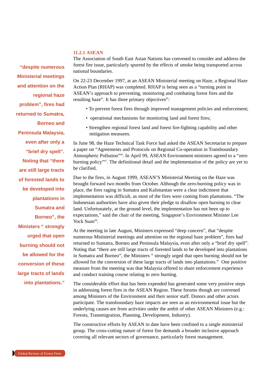#### **11.2.1 ASEAN**

The Association of South East Asian Nations has convened to consider and address the forest fire issue, particularly spurred by the effects of smoke being transported across national boundaries.

On 22-23 December 1997, at an ASEAN Ministerial meeting on Haze, a Regional Haze Action Plan (RHAP) was completed. RHAP is being seen as a "turning point in ASEAN's approach to preventing, monitoring and combating forest fires and the resulting haze". It has three primary objectives<sup>95</sup>:

- To prevent forest fires through improved management policies and enforcement;
- operational mechanisms for monitoring land and forest fires;
- Strengthen regional forest land and forest fire-fighting capability and other mitigation measures.

In June 98, the Haze Technical Task Force had asked the ASEAN Secretariat to prepare a paper on "Agreements and Protocols on Regional Co-operation in Transboundary Atmospheric Pollution"96. In April 99, ASEAN Environment ministers agreed to a "zero burning policy" $97$ . The definitional detail and the implementation of the policy are yet to be clarified.

Due to the fires, in August 1999, ASEAN'S Ministerial Meeting on the Haze was brought forward two months from October. Although the zero-burning policy was in place, the fires raging in Sumatra and Kalimantan were a clear indictment that implementation was difficult, as most of the fires were coming from plantations. "The Indonesian authorities have also given their pledge to disallow open burning to clear land. Unfortunately, at the ground level, the implementation has not been up to expectations," said the chair of the meeting, Singapore's Environment Minister Lee Yock Suan<sup>98</sup>.

At the meeting in late August, Ministers expressed "deep concern", that "despite numerous Ministerial meetings and attention on the regional haze problem", fires had returned to Sumatra, Borneo and Peninsula Malaysia, even after only a "brief dry spell". Noting that "there are still large tracts of forested lands to be developed into plantations in Sumatra and Borneo", the Ministers " strongly urged that open burning should not be allowed for the conversion of these large tracts of lands into plantations." One positive measure from the meeting was that Malaysia offered to share enforcement experience and conduct training course relating to zero burning.

The considerable effort that has been expended has generated some very positive steps in addressing forest fires in the ASEAN Region. These forums though are convened among Ministers of the Environment and their senior staff. Donors and other actors participate. The transboundary haze impacts are seen as an environmental issue but the underlying causes are from activities under the ambit of other ASEAN Ministers (e.g.: Forests, Transmigration, Planning, Development, Industry).

The constructive efforts by ASEAN to date have been confined to a single ministerial group. The cross-cutting nature of forest fire demands a broader inclusive approach covering all relevant sectors of governance, particularly forest management.

**"despite numerous Ministerial meetings and attention on the regional haze problem", fires had returned to Sumatra, Borneo and Peninsula Malaysia, even after only a "brief dry spell". Noting that "there are still large tracts of forested lands to be developed into plantations in Sumatra and Borneo", the Ministers " strongly urged that open burning should not be allowed for the conversion of these large tracts of lands into plantations."**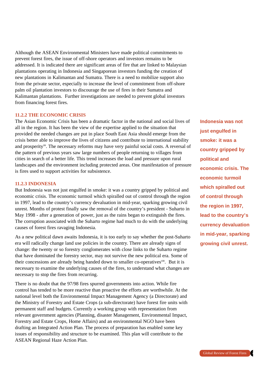Although the ASEAN Environmental Ministers have made political commitments to prevent forest fires, the issue of off-shore operators and investors remains to be addressed. It is indicated there are significant areas of fire that are linked to Malaysian plantations operating in Indonesia and Singaporean investors funding the creation of new plantations in Kalimantan and Sumatra. There is a need to mobilize support also from the private sector, especially to increase the level of commitment from off-shore palm oil plantation investors to discourage the use of fires in their Sumatra and Kalimantan plantations. Further investigations are needed to prevent global investors from financing forest fires.

#### **11.2.2 THE ECONOMIC CRISIS**

The Asian Economic Crisis has been a dramatic factor in the national and social lives of all in the region. It has been the view of the expertise applied to the situation that provided the needed changes are put in place South East Asia should emerge from the crisis better able to improve the lives of citizens and contribute to international stability and prosperity<sup>99</sup>. The necessary reforms may have very painful social costs. A reversal of the pattern of previous years saw large numbers of people returning to villages from cities in search of a better life. This trend increases the load and pressure upon rural landscapes and the environment including protected areas. One manifestation of pressure is fires used to support activities for subsistence.

#### **11.2.3 INDONESIA**

But Indonesia was not just engulfed in smoke: it was a country gripped by political and economic crisis. The economic turmoil which spiralled out of control through the region in 1997, lead to the country's currency devaluation in mid-year, sparking growing civil unrest. Months of protest finally saw the removal of the country's president - Suharto in May 1998 - after a generation of power, just as the rains began to extinguish the fires. The corruption associated with the Suharto regime had much to do with the underlying causes of forest fires ravaging Indonesia.

As a new political dawn awaits Indonesia, it is too early to say whether the post-Suharto era will radically change land use policies in the country. There are already signs of change: the twenty or so forestry conglomerates with close links to the Suharto regime that have dominated the forestry sector, may not survive the new political era. Some of their concessions are already being handed down to smaller co-operatives<sup>100</sup>. But it is necessary to examine the underlying causes of the fires, to understand what changes are necessary to stop the fires from recurring.

There is no doubt that the 97/98 fires spurred governments into action. While fire control has tended to be more reactive than proactive the efforts are worthwhile. At the national level both the Environmental Impact Management Agency (a Directorate) and the Ministry of Forestry and Estate Crops (a sub-directorate) have forest fire units with permanent staff and budgets. Currently a working group with representation from relevant government agencies (Planning, disaster Management, Environmental Impact, Forestry and Estate Crops, Home Affairs) and an environmental NGO have been drafting an Integrated Action Plan. The process of preparation has enabled some key issues of responsibility and structure to be examined. This plan will contribute to the ASEAN Regional Haze Action Plan.

**Indonesia was not just engulfed in smoke: it was a country gripped by political and economic crisis. The economic turmoil which spiralled out of control through the region in 1997, lead to the country's currency devaluation in mid-year, sparking growing civil unrest.**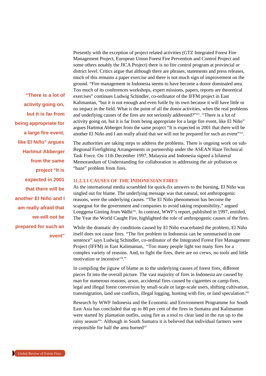**"There is a lot of activity going on, but it is far from being appropriate for a large fire event, like El Niño" argues Hartmut Abberger from the same project "It is expected in 2001 that there will be another El Niño and I am really afraid that we will not be prepared for such an event"**

Presently with the exception of project related activities (GTZ Integrated Forest Fire Management Project, European Union Forest Fire Prevention and Control Project and some others notably the JICA Project) there is no fire control program at provincial or district level. Critics argue that although there are phrases, statements and press releases, much of this remains a paper exercise and there is not much sign of improvement on the ground. "Fire management in Indonesia seems to have become a donor dominated area. Too much of its conferences workshops, expert missions, papers, reports are theoretical exercises" continues Ludwig Schindler, co-ordinator of the IFFM project in East Kalimantan, "but it is not enough and even futile by its own because it will have little or no impact in the field. What is the point of all the donor activities, when the real problems and underlying causes of the fires are not seriously addressed?"<sup>101</sup>. "There is a lot of activity going on, but it is far from being appropriate for a large fire event, like El Niño" argues Hartmut Abberger from the same project "It is expected in 2001 that there will be another El Niño and I am really afraid that we will not be prepared for such an event"<sup>102</sup>.

The authorities are taking steps to address the problems. There is ongoing work on sub-Regional Firefighting Arrangements in partnership under the ASEAN Haze Technical Task Force. On 11th December 1997, Malaysia and Indonesia signed a bilateral Memorandum of Understanding for collaboration in addressing the air pollution or "haze" problem from fires.

#### **11.2.3.1 CAUSES OF THE INDONESIAN FIRES**

As the international media scrambled for quick-fix answers to the burning, El Niño was singled out for blame. The underlying message was that natural, not anthropogenic reasons, were the underlying causes. "The El Niño phenomenon has become the scapegoat for the government and companies to avoid taking responsibility," argued Longgena Ginting from Walhi<sup>103</sup>. In contrast, WWF's report, published in 1997, entitled, The Year the World Caught Fire, highlighted the role of anthropogenic causes of the fires.

While the dramatic dry conditions caused by El Niño exacerbated the problem, El Niño itself does not cause fires. "The fire problem in Indonesia can be summarised in one sentence" says Ludwig Schindler, co-ordinator of the Integrated Forest Fire Management Project (IFFM) in East Kalimantan, "Too many people light too many fires for a complex variety of reasons. And, to fight the fires, there are no crews, no tools and little motivation or incentive $104$ ."

In compiling the jigsaw of blame as to the underlying causes of forest fires, different pieces fit into the overall picture. The vast majority of fires in Indonesia are caused by man for numerous reasons; arson, accidental fires caused by cigarettes or camp-fires, legal and illegal forest conversion by small-scale or large-scale users, shifting cultivation, transmigration, land use conflicts, illegal logging, hunting with fire, or land speculation.<sup>105</sup>

Research by WWF Indonesia and the Economic and Environment Programme for South East Asia has concluded that up to 80 per cent of the fires in Sumatra and Kalimantan were started by plantation outfits, using fire as a tool to clear land in the run up to the rainy season<sup>106</sup>. Although in South Sumatra it is believed that individual farmers were responsible for half the area burned<sup>107</sup>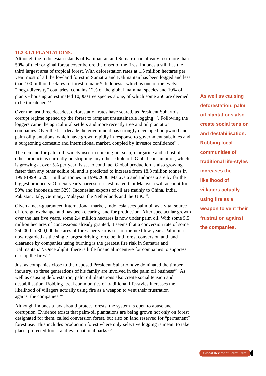#### **11.2.3.1.1 PLANTATIONS.**

Although the Indonesian islands of Kalimantan and Sumatra had already lost more than 50% of their original forest cover before the onset of the fires, Indonesia still has the third largest area of tropical forest. With deforestation rates at 1.5 million hectares per year, most of all the lowland forest in Sumatra and Kalimantan has been logged and less than 100 million hectares of forest remain<sup>108</sup>. Indonesia, which is one of the twelve "mega-diversity" countries, contains 12% of the global mammal species and 10% of plants - housing an estimated 10,000 tree species alone, of which some 250 are deemed to be threatened.<sup>109</sup>

Over the last three decades, deforestation rates have soared, as President Suharto's corrupt regime opened up the forest to rampant unsustainable logging <sup>110</sup>. Following the loggers came the agricultural settlers and more recently tree and oil plantation companies. Over the last decade the government has strongly developed pulpwood and palm oil plantations, which have grown rapidly in response to government subsidies and a burgeoning domestic and international market, coupled by investor confidence<sup>111</sup>.

The demand for palm oil, widely used in cooking oil, soap, margarine and a host of other products is currently outstripping any other edible oil. Global consumption, which is growing at over 5% per year, is set to continue. Global production is also growing faster than any other edible oil and is predicted to increase from 18.3 million tonnes in 1998/1999 to 20.1 million tonnes in 1999/2000. Malaysia and Indonesia are by far the biggest producers: Of next year's harvest, it is estimated that Malaysia will account for 50% and Indonesia for 32%. Indonesian exports of oil are mainly to China, India, Pakistan, Italy, Germany, Malaysia, the Netherlands and the U.K.<sup>112</sup>.

Given a near-guaranteed international market, Indonesia sees palm oil as a vital source of foreign exchange, and has been clearing land for production. After spectacular growth over the last five years, some 2.4 million hectares is now under palm oil. With some 5.5 million hectares of concessions already granted, it seems that a conversion rate of some 250,000 to 300,000 hectares of forest per year is set for the next few years. Palm oil is now regarded as the single largest driving force behind forest conversion and land clearance by companies using burning is the greatest fire risk in Sumatra and Kalimantan.113. Once alight, there is little financial incentive for companies to suppress or stop the fires<sup>114</sup>.

Just as companies close to the deposed President Suharto have dominated the timber industry, so three generations of his family are involved in the palm oil business<sup>115</sup>. As well as causing deforestation, palm oil plantations also create social tension and destabilisation. Robbing local communities of traditional life-styles increases the likelihood of villagers actually using fire as a weapon to vent their frustration against the companies.<sup>116</sup>

Although Indonesia law should protect forests, the system is open to abuse and corruption. Evidence exists that palm-oil plantations are being grown not only on forest designated for them, called conversion forest, but also on land reserved for "permanent" forest use. This includes production forest where only selective logging is meant to take place, protected forest and even national parks.<sup>117</sup>

**As well as causing deforestation, palm oil plantations also create social tension and destabilisation. Robbing local communities of traditional life-styles increases the likelihood of villagers actually using fire as a weapon to vent their frustration against the companies.**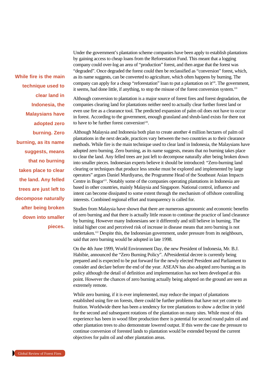**While fire is the main technique used to clear land in Indonesia, the Malaysians have adopted zero burning. Zero burning, as its name suggests, means that no burning takes place to clear the land. Any felled trees are just left to decompose naturally after being broken down into smaller pieces.**

Under the government's plantation scheme companies have been apply to establish plantations by gaining access to cheap loans from the Reforestation Fund. This meant that a logging company could over-log an area of "production" forest, and then argue that the forest was "degraded". Once degraded the forest could then be reclassified as "conversion" forest, which, as its name suggests, can be converted to agriculture, which often happens by burning. The company can apply for a cheap "reforestation" loan to put a plantation on it<sup>118</sup>. The government, it seems, had done little, if anything, to stop the misuse of the forest conversion system.<sup>119</sup>

Although conversion to plantation is a major source of forest fires and forest degradation, the companies clearing land for plantations neither need to actually clear further forest land or even use fire as a clearance tool. The predicted expansion of palm oil does not have to occur in forest. According to the government, enough grassland and shrub-land exists for there not to have to be further forest conversion<sup>120</sup>.

Although Malaysia and Indonesia both plan to create another 4 million hectares of palm oil plantations in the next decade, practices vary between the two countries as to their clearance methods. While fire is the main technique used to clear land in Indonesia, the Malaysians have adopted zero burning. Zero burning, as its name suggests, means that no burning takes place to clear the land. Any felled trees are just left to decompose naturally after being broken down into smaller pieces. Indonesian experts believe it should be introduced: "Zero-burning land clearing or techniques that produce less smoke must be explored and implemented by large operators" argues Daniel Murdiyarso, the Programme Head of the Southeast Asian Impacts Centre in Bogor<sup>121</sup>. Notably some of the companies operating plantations in Indonesia are based in other countries, mainly Malaysia and Singapore. National control, influence and intent can become dissipated to some extent through the mechanism of offshore controlling interests. Combined regional effort and transparency is called for.

Studies from Malaysia have shown that there are numerous agronomic and economic benefits of zero burning and that there is actually little reason to continue the practice of land clearance by burning. However many Indonesians see it differently and still believe in burning. The initial higher cost and perceived risk of increase in disease means that zero burning is not undertaken.<sup>122</sup> Despite this, the Indonesian government, under pressure from its neighbours, said that zero burning would be adopted in late 1998.

On the 4th June 1999, World Environment Day, the new President of Indonesia, Mr. B.J. Habibie, announced the "Zero Burning Policy". APresidential decree is currently being prepared and is expected to be put forward for the newly elected President and Parliament to consider and declare before the end of the year. ASEAN has also adopted zero burning as its policy although the detail of definition and implementation has not been developed at this point. However the chances of zero burning actually being adopted on the ground are seen as extremely remote.

While zero burning, if it is ever implemented, may reduce the impact of plantations established using fire on forests, there could be further problems that have not yet come to fruition. Worldwide there has been a tendency for tree plantations to show a decline in yield for the second and subsequent rotations of the plantation on many sites. While most of this experience has been in wood fibre production there is potential for second round palm oil and other plantation trees to also demonstrate lowered output. If this were the case the pressure to continue conversion of forested lands to plantation would be extended beyond the current objectives for palm oil and other plantation areas.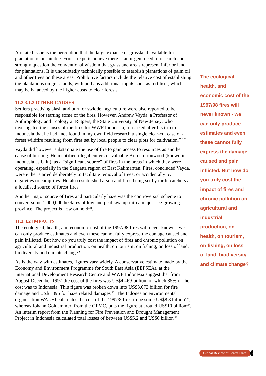A related issue is the perception that the large expanse of grassland available for plantation is unsuitable. Forest experts believe there is an urgent need to research and strongly question the conventional wisdom that grassland areas represent inferior land for plantations. It is undoubtedly technically possible to establish plantations of palm oil and other trees on these areas. Prohibitive factors include the relative cost of establishing the plantations on grasslands, with perhaps additional inputs such as fertiliser, which may be balanced by the higher costs to clear forests.

#### **11.2.3.1.2 OTHER CAUSES**

Settlers practising slash and burn or swidden agriculture were also reported to be responsible for starting some of the fires. However, Andrew Vayda, a Professor of Anthropology and Ecology at Rutgers, the State University of New Jersey, who investigated the causes of the fires for WWF Indonesia, remarked after his trip to Indonesia that he had "not found in my own field research a single clear-cut case of a forest wildfire resulting from fires set by local people to clear plots for cultivation." 123.

Vayda did however substantiate the use of fire to gain access to resources as another cause of burning. He identified illegal cutters of valuable Borneo ironwood (known in Indonesia as Ulin), as a "significant source" of fires in the areas in which they were operating, especially in the Sangatta region of East Kalimantan. Fires, concluded Vayda, were either started deliberately to facilitate removal of trees, or accidentally by cigarettes or campfires. He also established arson and fires being set by turtle catchers as a localised source of forest fires.

Another major source of fires and particularly haze was the controversial scheme to convert some 1,000,000 hectares of lowland peat-swamp into a major rice-growing province. The project is now on hold $124$ .

#### **11.2.3.2 IMPACTS**

The ecological, health, and economic cost of the 1997/98 fires will never known - we can only produce estimates and even these cannot fully express the damage caused and pain inflicted. But how do you truly cost the impact of fires and chronic pollution on agricultural and industrial production, on health, on tourism, on fishing, on loss of land, biodiversity and climate change?

As is the way with estimates, figures vary widely. A conservative estimate made by the Economy and Environment Programme for South East Asia (EEPSEA), at the International Development Research Centre and WWF Indonesia suggest that from August-December 1997 the cost of the fires was US\$4.469 billion, of which 85% of the cost was to Indonesia. This figure was broken down into US\$3.073 billion for fire damage and US\$1.396 for haze related damages<sup>125</sup>. The Indonesian environmental organisation WALHI calculates the cost of the 1997/8 fires to be some US\$8.8 billion<sup>126</sup>, whereas Johann Goldammer, from the GFMC, puts the figure at around US\$10 billion $127$ . An interim report from the Planning for Fire Prevention and Drought Management Project in Indonesia calculated total losses of between US\$5.2 and US\$6 billion<sup>128</sup>.

**The ecological, health, and economic cost of the 1997/98 fires will never known - we can only produce estimates and even these cannot fully express the damage caused and pain inflicted. But how do you truly cost the impact of fires and chronic pollution on agricultural and industrial production, on health, on tourism, on fishing, on loss of land, biodiversity and climate change?**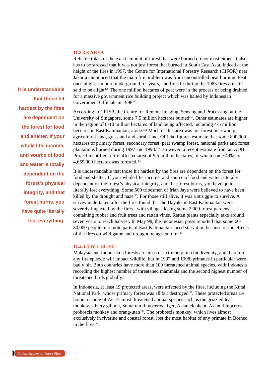#### **11.2.3.3 AREA**

Reliable totals of the exact amount of forest that were burned do not exist either. It also has to be stressed that it was not just forest that burned in South East Asia. Indeed at the height of the fires in 1997, the Centre for International Forestry Research (CIFOR) near Jakarta announced that the main fire problem was from uncontrolled peat burning. Peat once alight can burn underground for years, and fires lit during the 1983 fires are still said to be alight<sup>129</sup> The one million hectares of peat were in the process of being drained for a massive government rice building project which was halted by Indonesian Government Officials in 1998<sup>130</sup>.

According to CRISP, the Centre for Remote Imaging, Sensing and Processing, at the University of Singapore, some 7.5 million hectares burned<sup>131</sup>. Other estimates are higher in the region of 8-10 million hectares of land being affected, including 4-5 million hectares in East Kalimantan, alone.<sup>132</sup> Much of this area was not forest but swamp, agricultural land, grassland and shrub-land. Official figures estimate that some 800,000 hectares of primary forest, secondary forest, peat swamp forest, national parks and forest plantations burned during 1997 and 1998.133 However, a recent estimate from an ADB Project identified a fire-affected area of 9.5 million hectares, of which some 49%, or 4,655,000 hectares was forested.134

It is understandable that those hit hardest by the fires are dependent on the forest for food and shelter. If your whole life, income, and source of food and water is totally dependent on the forest's physical integrity, and that forest burns, you have quite literally lost everything. Some 500 tribesmen of Irian Jaya were believed to have been killed by the drought and haze<sup>135</sup>. For those still alive, it was a struggle to survive. A survey undertaken after the fires found that the Dayaks in East Kalimantan were severely impacted by the fires - with villages losing some 2,000 forest gardens, containing rubber and fruit trees and rattan vines. Rattan plants especially take around seven years to reach harvest. In May 98, the Indonesian press reported that some 60- 80,000 people in remote parts of East Kalimantan faced starvation because of the effects of the fires on wild game and drought on agriculture.<sup>136</sup>

#### **11.2.3.4 WILDLIFE**

Malaysia and Indonesia's forests are areas of extremely rich biodiversity, and therefore any fire episode will impact wildlife, but in 1997 and 1998, primates in particular were badly hit. Both countries have more than 100 threatened animal species, with Indonesia recording the highest number of threatened mammals and the second highest number of threatened birds globally.

In Indonesia, at least 19 protected areas, were affected by the fires, including the Kutai National Park, whose primary forest was all but destroyed<sup>137</sup>. These protected areas are home to some of Asia's most threatened animal species such as the grizzled leaf monkey, silvery gibbon, Sumatran rhinoceros, tiger, Asian elephant, Asian rhinoceros, proboscis monkey and orang-utan<sup>138</sup>. The proboscis monkey, which lives almost exclusively in riverine and coastal forest, lost the most habitat of any primate in Borneo in the fires $139$ .

**It is understandable that those hit hardest by the fires are dependent on the forest for food and shelter. If your whole life, income, and source of food and water is totally dependent on the forest's physical integrity, and that forest burns, you have quite literally lost everything.**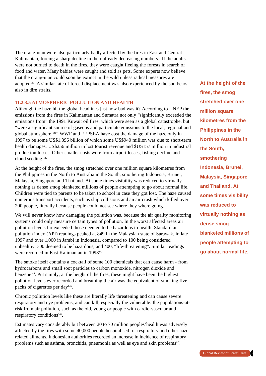The orang-utan were also particularly badly affected by the fires in East and Central Kalimantan, forcing a sharp decline in their already decreasing numbers. If the adults were not burned to death in the fires, they were caught fleeing the forests in search of food and water. Many babies were caught and sold as pets. Some experts now believe that the orang-utan could soon be extinct in the wild unless radical measures are adopted $140$ . A similar fate of forced displacement was also experienced by the sun bears, also in dire straits.

#### **11.2.3.5 ATMOSPHERIC POLLUTION AND HEALTH**

Although the haze hit the global headlines just how bad was it? According to UNEP the emissions from the fires in Kalimantan and Sumatra not only "significantly exceeded the emissions from" the 1991 Kuwait oil fires, which were seen as a global catastrophe, but "were a significant source of gaseous and particulate emissions to the local, regional and global atmosphere.141" WWF and EEPSEA have cost the damage of the haze only in 1997 to be some US\$1.396 billion of which some US\$940 million was due to short-term health damages, US\$256 million in lost tourist revenue and \$US157 million in industrial production losses. Other smaller costs were from airport losses, fishing decline and cloud seeding.<sup>142</sup>

At the height of the fires, the smog stretched over one million square kilometres from the Philippines in the North to Australia in the South, smothering Indonesia, Brunei, Malaysia, Singapore and Thailand. At some times visibility was reduced to virtually nothing as dense smog blanketed millions of people attempting to go about normal life. Children were tied to parents to be taken to school in case they got lost. The haze caused numerous transport accidents, such as ship collisions and an air crash which killed over 200 people, literally because people could not see where they where going.

We will never know how damaging the pollution was, because the air quality monitoring systems could only measure certain types of pollution. In the worst affected areas air pollution levels far exceeded those deemed to be hazardous to health. Standard air pollution index (API) readings peaked at 849 in the Malaysian state of Sarawak, in late 1997 and over 1,000 in Jambi in Indonesia, compared to 100 being considered unhealthy, 300 deemed to be hazardous, and 400, "life-threatening". Similar readings were recorded in East Kalimantan in 1998<sup>143</sup>

The smoke itself contains a cocktail of some 100 chemicals that can cause harm - from hydrocarbons and small soot particles to carbon monoxide, nitrogen dioxide and benzene144. Put simply, at the height of the fires, these might have been the highest pollution levels ever recorded and breathing the air was the equivalent of smoking five packs of cigarettes per day<sup>145</sup>.

Chronic pollution levels like these are literally life threatening and can cause severe respiratory and eye problems, and can kill, especially the vulnerable: the populations-atrisk from air pollution, such as the old, young or people with cardio-vascular and respiratory conditions<sup>146</sup>.

Estimates vary considerably but between 20 to 70 million peoples'health was adversely a ffected by the fires with some 40,000 people hospitalised for respiratory and other hazerelated ailments. Indonesian authorities recorded an increase in incidence of respiratory problems such as asthma, bronchitis, pneumonia as well as eye and skin problems<sup>147</sup>.

**At the height of the fires, the smog stretched over one million square kilometres from the Philippines in the North to Australia in the South, smothering Indonesia, Brunei, Malaysia, Singapore and Thailand. At some times visibility was reduced to virtually nothing as dense smog blanketed millions of people attempting to go about normal life.**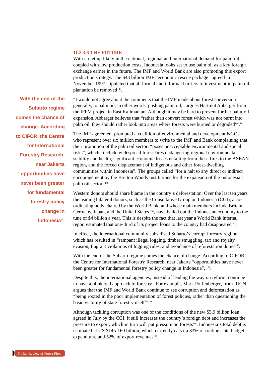#### **11.2.3.6 THE FUTURE**

With no let up likely in the national, regional and international demand for palm-oil. coupled with low production costs, Indonesia looks set to use palm oil as a key foreign exchange earner in the future. The IMF and World Bank are also promoting this export production strategy. The \$43 billion IMF "economic rescue package" agreed in November 1997 stipulated that all formal and informal barriers to investment in palm oil plantation be removed<sup>148</sup>.

"I would not agree about the comments that the IMF made about forest conversion generally, to palm oil, in other words, pushing palm oil," argues Hartmut Abberger from the IFFM project in East Kalimantan. Although it may be hard to prevent further palm-oil expansion, Abberger believes that "rather than convert forest which was not burnt into palm oil, they should rather look into areas where forests were burned or degraded<sup>149</sup>."

The IMF agreement prompted a coalition of environmental and development NGOs, who represent over six million members to write to the IMF and Bank complaining that their promotion of the palm oil sector, "poses unacceptable environmental and social risks", which "include widespread forest fires endangering regional environmental stability and health, significant economic losses entailing from these fires to the ASEAN region, and the forced displacement of indigenous and other forest-dwelling communities within Indonesia". The groups called "for a halt to any direct or indirect encouragement by the Bretton Woods Institutions for the expansion of the Indonesian palm oil sector"<sup>150</sup>.

Western donors should share blame in the country's deforestation. Over the last ten years the leading bilateral donors, such as the Consultative Group on Indonesia (CGI), a coordinating body chaired by the World Bank, and whose main members include Britain, Germany, Japan, and the United States <sup>151</sup>, have bailed out the Indonesian economy to the tune of \$4 billion a year. This is despite the fact that last year a World Bank internal report estimated that one-third of its project loans to the country had disappeared<sup>152</sup>.

In effect, the international community subsidised Suharto's corrupt forestry regime, which has resulted in "rampant illegal logging, timber smuggling, tax and royalty evasion, flagrant violations of logging rules, and avoidance of reforestation duties<sup>153</sup>."

With the end of the Suharto regime comes the chance of change. According to CIFOR, the Centre for International Forestry Research, near Jakarta "opportunities have never been greater for fundamental forestry policy change in Indonesia", 154.

Despite this, the international agencies, instead of leading the way on reform, continue to have a blinkered approach to forestry. For example, Mark Poffenberger, from IUCN argues that the IMF and World Bank continue to see corruption and deforestation as "being rooted in the poor implementation of forest policies, rather than questioning the basic viability of state forestry itself<sup>155</sup>."

Although tackling corruption was one of the conditions of the new \$5.9 billion loan agreed in July by the CGI, it still increases the country's foreign debt and increases the pressure to export, which in turn will put pressure on forests<sup>156</sup>. Indonesia's total debt is estimated at US \$145-160 billion, which currently eats up 33% of routine state budget expenditure and  $52\%$  of export revenues<sup>157</sup>.

**With the end of the Suharto regime comes the chance of change. According to CIFOR, the Centre for International Forestry Research, near Jakarta "opportunities have never been greater for fundamental forestry policy change in Indonesia".**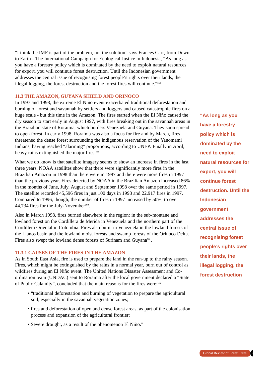"I think the IMF is part of the problem, not the solution" says Frances Carr, from Down to Earth - The International Campaign for Ecological Justice in Indonesia, "As long as you have a forestry policy which is dominated by the need to exploit natural resources for export, you will continue forest destruction. Until the Indonesian government addresses the central issue of recognising forest people's rights over their lands, the illegal logging, the forest destruction and the forest fires will continue."158

#### **11.3 THE AMAZON, GUYANA SHIELD AND ORINOCO**

In 1997 and 1998, the extreme El Niño event exacerbated traditional deforestation and burning of forest and savannah by settlers and loggers and caused catastrophic fires on a huge scale - but this time in the Amazon. The fires started when the El Niño caused the dry season to start early in August 1997, with fires breaking out in the savannah areas in the Brazilian state of Roraima, which borders Venezuela and Guyana. They soon spread to open forest. In early 1998, Roraima was also a focus for fire and by March, fires threatened the dense forest surrounding the indigenous reservation of the Yanomami Indians, having reached "alarming" proportions, according to UNEP. Finally in April, heavy rains extinguished the major fires.<sup>159</sup>

What we do know is that satellite imagery seems to show an increase in fires in the last three years. NOAA satellites show that there were significantly more fires in the Brazilian Amazon in 1998 than there were in 1997 and there were more fires in 1997 than the previous year. Fires detected by NOAA in the Brazilian Amazon increased 86% in the months of June, July, August and September 1998 over the same period in 1997. The satellite recorded 45,596 fires in just 100 days in 1998 and 22,917 fires in 1997. Compared to 1996, though, the number of fires in 1997 increased by 50%, to over 44,734 fires for the July-November<sup>160</sup>.

Also in March 1998, fires burned elsewhere in the region: in the sub-montane and lowland forest on the Cordillera de Merida in Venezuela and the northern part of the Cordillera Oriental in Colombia. Fires also burnt in Venezuela in the lowland forests of the Llanos basin and the lowland moist forests and swamp forests of the Orinoco Delta. Fires also swept the lowland dense forests of Surinam and Guyana<sup>161</sup>.

#### **11.3.1 CAUSES OF THE FIRES IN THE AMAZON**

As in South East Asia, fire is used to prepare the land in the run-up to the rainy season. Fires, which might be extinguished by the rains in a normal year, burn out of control as wildfires during an El Niño event. The United Nations Disaster Assessment and Coordination team (UNDAC) sent to Roraima after the local government declared a "State of Public Calamity", concluded that the main reasons for the fires were:<sup>162</sup>

- "traditional deforestation and burning of vegetation to prepare the agricultural soil, especially in the savannah vegetation zones;
- fires and deforestation of open and dense forest areas, as part of the colonisation process and expansion of the agricultural frontier;
- Severe drought, as a result of the phenomenon El Niño."

**"As long as you have a forestry policy which is dominated by the need to exploit natural resources for export, you will continue forest destruction. Until the Indonesian government addresses the central issue of recognising forest people's rights over their lands, the illegal logging, the forest destruction**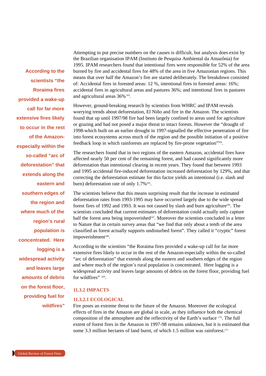**According to the scientists "the Roraima fires provided a wake-up call for far more extensive fires likely to occur in the rest of the Amazonespecially within the so-called "arc of deforestation" that extends along the eastern and southern edges of the region and where much of the region's rural population is concentrated. Here logging is a widespread activity and leaves large amounts of debris on the forest floor, providing fuel for wildfires"**

Attempting to put precise numbers on the causes is difficult, but analysis does exist by the Brazilian organisation IPAM (Instituto de Pesquisa Ambiental da Amazônia) for 1995. IPAM researchers found that intentional fires were responsible for 52% of the area burned by fire and accidental fires for 48% of the area in five Amazonian regions. This means that over half the Amazon's fire are started deliberately. The breakdown consisted of: Accidental fires in forested areas: 12 %, intentional fires in forested areas: 16%; accidental fires in agricultural areas and pastures 36%; and intentional fires in pastures and agricultural areas 36%<sup>163</sup>.

However, ground-breaking research by scientists from WHRC and IPAM reveals worrying trends about deforestation, El Niño and fire in the Amazon. The scientists found that up until 1997/98 fire had been largely confined to areas used for agriculture or grazing and had not posed a major threat to intact forests. However the "drought of 1998-which built on an earlier drought in 1997-signalled the effective penetration of fire into forest ecosystems across much of the region and the possible initiation of a positive feedback loop in which rainforests are replaced by fire-prone vegetation"164.

The researchers found that in two regions of the eastern Amazon, accidental fires have affected nearly 50 per cent of the remaining forest, and had caused significantly more deforestation than intentional clearing in recent years. They found that between 1993 and 1995 accidental fire-induced deforestation increased deforestation by 129%, and that correcting the deforestation estimate for this factor yields an intentional (i.e. slash and burn) deforestation rate of only 1.7%<sup>165</sup>.

The scientists believe that this means surprising result that the increase in estimated deforestation rates from 1993-1995 may have occurred largely due to the wide spread forest fires of 1992 and 1993. It was not caused by slash and burn agriculture<sup>166</sup>. The scientists concluded that current estimates of deforestation could actually only capture half the forest area being impoverished<sup>167</sup>. Moreover the scientists concluded in a letter to Nature that in certain survey areas that "we find that only about a tenth of the area classified as forest actually supports undisturbed forest". They called it "cryptic" forest impoverishment<sup>168</sup>.

According to the scientists "the Roraima fires provided a wake-up call for far more extensive fires likely to occur in the rest of the Amazon-especially within the so-called "arc of deforestation" that extends along the eastern and southern edges of the region and where much of the region's rural population is concentrated. Here logging is a widespread activity and leaves large amounts of debris on the forest floor, providing fuel for wildfires" 169

#### **11.3.2 IMPACTS**

#### **11.3.2.1 ECOLOGICAL**

Fire poses an extreme threat to the future of the Amazon. Moreover the ecological effects of fires in the Amazon are global in scale, as they influence both the chemical composition of the atmosphere and the reflectivity of the Earth's surface 170. The full extent of forest fires in the Amazon in 1997-98 remains unknown, but it is estimated that some 3.3 million hectares of land burnt, of which 1.5 million was rainforest.<sup>171</sup>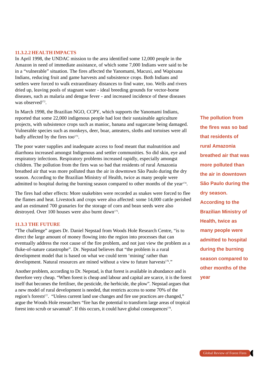#### **11.3.2.2 HEALTH IMPACTS**

In April 1998, the UNDAC mission to the area identified some 12,000 people in the Amazon in need of immediate assistance, of which some 7,000 Indians were said to be in a "vulnerable" situation. The fires affected the Yanomami, Macuxi, and Wapixana Indians, reducing fruit and game harvests and subsistence crops. Both Indians and settlers were forced to walk extraordinary distances to find water, too. Wells and rivers dried up, leaving pools of stagnant water - ideal breeding grounds for vector-borne diseases, such as malaria and dengue fever - and increased incidence of these diseases was observed<sup>172</sup>.

In March 1998, the Brazilian NGO, CCPY, which supports the Yanomami Indians, reported that some 22,000 indigenous people had lost their sustainable agriculture projects, with subsistence crops such as manioc, banana and sugarcane being damaged. Vulnerable species such as monkeys, deer, boar, anteaters, sloths and tortoises were all badly affected by the fires too $173$ .

The poor water supplies and inadequate access to food meant that malnutrition and diarrhoea increased amongst Indigenous and settler communities. So did skin, eye and respiratory infections. Respiratory problems increased rapidly, especially amongst children. The pollution from the fires was so bad that residents of rural Amazonia breathed air that was more polluted than the air in downtown São Paulo during the dry season. According to the Brazilian Ministry of Health, twice as many people were admitted to hospital during the burning season compared to other months of the year<sup>174</sup>.

The fires had other effects: More snakebites were recorded as snakes were forced to flee the flames and heat. Livestock and crops were also affected: some 14,000 cattle perished and an estimated 700 granaries for the storage of corn and bean seeds were also destroyed. Over 100 houses were also burnt down<sup>175</sup>.

#### **11.3.3 THE FUTURE**

"The challenge" argues Dr. Daniel Nepstad from Woods Hole Research Centre, "is to direct the large amount of money flowing into the region into processes that can eventually address the root cause of the fire problem, and not just view the problem as a fluke-of-nature catastrophe". Dr. Nepstad believes that "the problem is a rural development model that is based on what we could term 'mining' rather than development. Natural resources are mined without a view to future harvests<sup>176</sup>."

Another problem, according to Dr. Nepstad, is that forest is available in abundance and is therefore very cheap. "When forest is cheap and labour and capital are scarce, it is the forest itself that becomes the fertiliser, the pesticide, the herbicide, the plow". Nepstad argues that a new model of rural development is needed, that restricts access to some 70% of the region's forests<sup>17</sup>. "Unless current land use changes and fire use practices are changed," a rgue the Woods Hole researchers "fire has the potential to transform large areas of tropical forest into scrub or savannah". If this occurs, it could have global consequences<sup>178</sup>.

**The pollution from the fires was so bad that residents of rural Amazonia breathed air that was more polluted than the air in downtown São Paulo during the dry season. According to the Brazilian Ministry of Health, twice as many people were admitted to hospital during the burning season compared to other months of the year**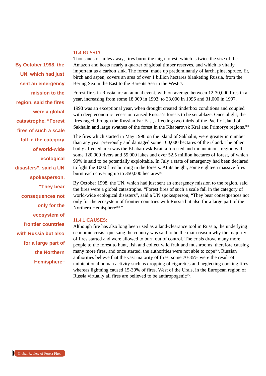#### **11.4 RUSSIA**

**By October 1998, the UN, which had just sent an emergency mission to the region, said the fires were a global catastrophe. "Forest fires of such a scale fall in the category of world-wide ecological disasters", said a UN spokesperson, "They bear consequences not only for the ecosystem of frontier countries with Russia but also for a large part of the Northern Hemisphere"** Thousands of miles away, fires burnt the taiga forest, which is twice the size of the Amazon and hosts nearly a quarter of global timber reserves, and which is vitally important as a carbon sink. The forest, made up predominantly of larch, pine, spruce, fir, birch and aspen, covers an area of over 1 billion hectares blanketing Russia, from the Bering Sea in the East to the Barents Sea in the West<sup>179</sup>.

Forest fires in Russia are an annual event, with on average between 12-30,000 fires in a year, increasing from some 18,000 in 1993, to 33,000 in 1996 and 31,000 in 1997.

1998 was an exceptional year, when drought created tinderbox conditions and coupled with deep economic recession caused Russia's forests to be set ablaze. Once alight, the fires raged through the Russian Far East, affecting two thirds of the Pacific island of Sakhalin and large swathes of the forest in the Khabarovsk Krai and Primorye regions.<sup>180</sup>

The fires which started in May 1998 on the island of Sakhalin, were greater in number than any year previously and damaged some 100,000 hectares of the island. The other badly affected area was the Khabarovsk Krai, a forested and mountainous region with some 120,000 rivers and 55,000 lakes and over 52.5 million hectares of forest, of which 90% is said to be potentially exploitable. In July a state of emergency had been declared to fight the 1000 fires burning in the forests. At its height, some eighteen massive fires burnt each covering up to  $350,000$  hectares<sup>181</sup>.

By October 1998, the UN, which had just sent an emergency mission to the region, said the fires were a global catastrophe. "Forest fires of such a scale fall in the category of world-wide ecological disasters", said a UN spokesperson, "They bear consequences not only for the ecosystem of frontier countries with Russia but also for a large part of the Northern Hemisphere<sup>182</sup> "

#### **11.4.1 CAUSES:**

Although fire has also long been used as a land-clearance tool in Russia, the underlying economic crisis squeezing the country was said to be the main reason why the majority of fires started and were allowed to burn out of control. The crisis drove many more people to the forest to hunt, fish and collect wild fruit and mushrooms, therefore causing many more fires, and once started, the authorities were not able to cope<sup>183</sup>. Russian authorities believe that the vast majority of fires, some 70-85% were the result of unintentional human activity such as dropping of cigarettes and neglecting cooking fires, whereas lightning caused 15-30% of fires. West of the Urals, in the European region of Russia virtually all fires are believed to be anthropogenic<sup>184</sup>.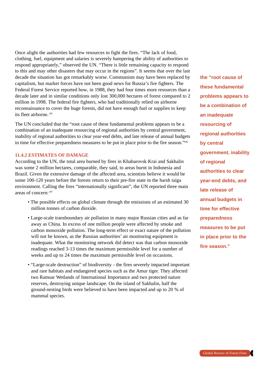Once alight the authorities had few resources to fight the fires. "The lack of food, clothing, fuel, equipment and salaries is severely hampering the ability of authorities to respond appropriately," observed the UN. "There is little remaining capacity to respond to this and may other disasters that may occur in the regions". It seems that over the last decade the situation has got remarkably worse. Communism may have been replaced by capitalism, but market forces have not been good news for Russia's fire fighters. The Federal Forest Service reported how, in 1988, they had four times more resources than a decade later and in similar conditions only lost 300,000 hectares of forest compared to 2 million in 1998. The federal fire fighters, who had traditionally relied on airborne reconnaissance to cover the huge forests, did not have enough fuel or supplies to keep its fleet airborne. <sup>185</sup>

The UN concluded that the "root cause of these fundamental problems appears to be a combination of an inadequate resourcing of regional authorities by central government, inability of regional authorities to clear year-end debts, and late release of annual budgets in time for effective preparedness measures to be put in place prior to the fire season."<sup>186</sup>

#### **11.4.2 ESTIMATES OF DAMAGE**

According to the UN, the total area burned by fires in Khabarovsk Krai and Sakhalin was some 2 million hectares, comparable, they said, to areas burnt in Indonesia and Brazil. Given the extensive damage of the affected area, scientists believe it would be some 100-120 years before the forests return to their pre-fire state in the harsh taiga environment. Calling the fires "internationally significant", the UN reported three main areas of concern:<sup>187</sup>

- The possible effects on global climate through the emissions of an estimated 30 million tonnes of carbon dioxide.
- Large-scale transboundary air pollution in many major Russian cities and as far away as China. In excess of one million people were affected by smoke and carbon monoxide pollution. The long-term effect or exact nature of the pollution will not be known, as the Russian authorities' air monitoring equipment is inadequate. What the monitoring network did detect was that carbon monoxide readings reached 3-13 times the maximum permissible level for a number of weeks and up to 24 times the maximum permissible level on occasions.
- "Large-scale destruction" of biodiversity the fires severely impacted important and rare habitats and endangered species such as the Amur tiger. They affected two Ramsar Wetlands of International Importance and two protected nature reserves, destroying unique landscape. On the island of Sakhalin, half the ground-nesting birds were believed to have been impacted and up to 20 % of mammal species.

**the "root cause of these fundamental problems appears to be a combination of an inadequate resourcing of regional authorities by central government, inability of regional authorities to clear year-end debts, and late release of annual budgets in time for effective preparedness measures to be put in place prior to the fire season."**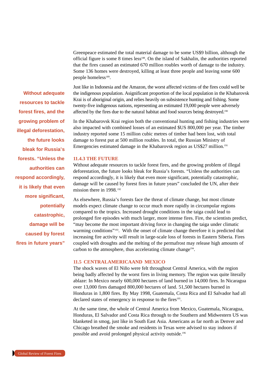Greenpeace estimated the total material damage to be some US\$9 billion, although the official figure is some 8 times less<sup>188</sup>. On the island of Sakhalin, the authorities reported that the fires caused an estimated 670 million roubles worth of damage to the industry. Some 136 homes were destroyed, killing at least three people and leaving some 600 people homeless<sup>189</sup>.

Just like in Indonesia and the Amazon, the worst affected victims of the fires could well be the indigenous population. Asignificant proportion of the local population in the Khabarovsk Krai is of aboriginal origin, and relies heavily on subsistence hunting and fishing. Some twenty-five indigenous nations, representing an estimated 19,000 people were adversely affected by the fires due to the natural habitat and food sources being destroyed.<sup>190</sup>

In the Khabarovsk Krai region both the conventional hunting and fishing industries were also impacted with combined losses of an estimated \$US 800,000 per year. The timber industry reported some 15 million cubic metres of timber had been lost, with total damage to forest put at 500 million roubles. In total, the Russian Ministry of Emergencies estimated damage in the Khabarovsk region as US\$27 million.<sup>191</sup>

#### **11.4.3 THE FUTURE**

Without adequate resources to tackle forest fires, and the growing problem of illegal deforestation, the future looks bleak for Russia's forests. "Unless the authorities can respond accordingly, it is likely that even more significant, potentially catastrophic, damage will be caused by forest fires in future years" concluded the UN, after their mission there in 1998.<sup>192</sup>

As elsewhere, Russia's forests face the threat of climate change, but most climate models expect climate change to occur much more rapidly in circumpolar regions compared to the tropics. Increased drought conditions in the taiga could lead to prolonged fire episodes with much larger, more intense fires. Fire, the scientists predict, "may become the most important driving force in changing the taiga under climatic warming conditions"<sup>193</sup>. With the onset of climate change therefore it is predicted that increasing fire activity will result in large-scale loss of forests in Eastern Siberia. Fires coupled with droughts and the melting of the permafrost may release high amounts of carbon to the atmosphere, thus accelerating climate change<sup>194</sup>.

#### **11.5 CENTRALAMERICAAND MEXICO**

The shock waves of El Niño were felt throughout Central America, with the region being badly affected by the worst fires in living memory. The region was quite literally ablaze: In Mexico nearly 600,000 hectares of land burned in 14,000 fires. In Nicaragua over 13,000 fires damaged 800,000 hectares of land. 51,500 hectares burned in Honduras in 1,800 fires. By May 1998, Guatemala, Costa Rica and El Salvador had all declared states of emergency in response to the fires<sup>195</sup>.

At the same time, the whole of Central America from Mexico, Guatemala, Nicaragua, Honduras, El Salvador and Costa Rica through to the Southern and Midwestern US was blanketed in smog, just like in South East Asia. Americans as far north as Denver and Chicago breathed the smoke and residents in Texas were advised to stay indoors if possible and avoid prolonged physical activity outside.196

**Without adequate resources to tackle forest fires, and the growing problem of illegal deforestation, the future looks bleak for Russia's forests. "Unless the authorities can respond accordingly, it is likely that even more significant, potentially catastrophic, damage will be caused by forest fires in future years"**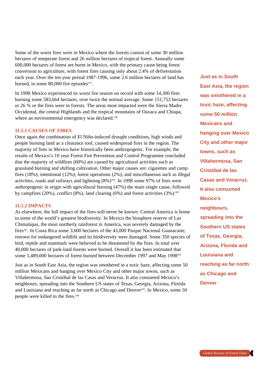Some of the worst fires were in Mexico where the forests consist of some 30 million hectares of temperate forest and 26 million hectares of tropical forest. Annually some 600,000 hectares of forest are burnt in Mexico, with the primary cause being forest conversion to agriculture, with forest fires causing only about 2.4% of deforestation each year. Over the ten year period 1987-1996, some 2.6 million hectares of land has burned, in some  $80,000$  fire episodes<sup>197</sup>.

In 1998 Mexico experienced its worst fire season on record with some 14,300 fires burning some 583,664 hectares, over twice the normal average. Some 151,753 hectares or 26 % or the fires were in forests. The areas most impacted were the Sierra Madre Occidental, the central Highlands and the tropical mountains of Oaxaca and Chiapa, where an environmental emergency was declared.<sup>198</sup>

#### **11.5.1 CAUSES OF FIRES**

Once again the combination of El Niño-induced drought conditions, high winds and people burning land as a clearance tool, caused widespread fires in the region. The majority of fires in Mexico have historically been anthropogenic. For example, the results of Mexico's 10 year Forest Fire Prevention and Control Programme concluded that the majority of wildfires (60%) are caused by agricultural activities such as grassland burning and shifting cultivation. Other major causes are: cigarettes and camp fires (18%); intentional (12%); forest operations (2%); and miscellaneous such as illegal activities, roads and railways and lightning  $(8\%)^{199}$ . In 1998 some 97% of fires were anthropogenic in origin with agricultural burning (47%) the main single cause, followed by campfires (20%), conflict (8%), land clearing (6%) and forest activities (3%).<sup>200</sup>

#### **11.5.2 IMPACTS**

As elsewhere, the full impact of the fires will never be known. Central America is home to some of the world's greatest biodiversity. In Mexico the biosphere reserve of Las Chimalapas, the most northerly rainforest in America, was severely damaged by the fires<sup>201</sup>. In Costa Rica some 3,600 hectares of the 43,000 Parque Nacional Guanacaste, renown for endangered wildlife and its biodiversity were damaged. Some 350 species of bird, reptile and mammals were believed to be threatened by the fires. In total over 40,000 hectares of park-land forests were burned. Overall it has been estimated that some 1,489,000 hectares of forest burned between December 1997 and May 1998<sup>202</sup>

Just as in South East Asia, the region was smothered in a toxic haze, affecting some 50 million Mexicans and hanging over Mexico City and other major towns, such as Villahermosa, San Cristóbal de las Casas and Veracruz. It also consumed Mexico's neighbours, spreading into the Southern US states of Texas, Georgia, Arizona, Florida and Louisiana and reaching as far north as Chicago and Denver<sup>203</sup>. In Mexico, some 50 people were killed in the fires.<sup>204</sup>

**Just as in South East Asia, the region was smothered in a toxic haze, affecting some 50 million Mexicans and hanging over Mexico City and other major towns, such as Villahermosa, San Cristóbal de las Casas and Veracruz. It also consumed Mexico's neighbours, spreading into the Southern US states of Texas, Georgia, Arizona, Florida and Louisiana and reaching as far north as Chicago and Denver**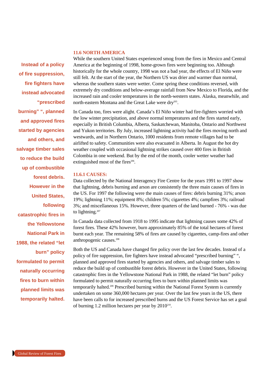#### **11.6 NORTH AMERICA**

**Instead of a policy of fire suppression, fire fighters have instead advocated "prescribed burning" ", planned and approved fires started by agencies and others, and salvage timber sales to reduce the build up of combustible forest debris. However in the United States, following catastrophic fires in the Yellowstone National Park in 1988, the related "let burn" policy formulated to permit naturally occurring fires to burn within planned limits was temporarily halted.**

While the southern United States experienced smog from the fires in Mexico and Central America at the beginning of 1998, home-grown fires were beginning too. Although historically for the whole country, 1998 was not a bad year, the effects of El Niño were still felt. At the start of the year, the Northern US was drier and warmer than normal, whereas the southern states were wetter. Come spring these conditions reversed, with extremely dry conditions and below-average rainfall from New Mexico to Florida, and the increased rain and cooler temperatures in the north-western states. Alaska, meanwhile, and north-eastern Montana and the Great Lake were dry<sup>205</sup>.

In Canada too, fires were alight. Canada's El Niño winter had fire-fighters worried with the low winter precipitation, and above normal temperatures and the fires started early, especially in British Columbia, Alberta, Saskatchewan, Manitoba, Ontario and Northwest and Yukon territories. By July, increased lightning activity had the fires moving north and westwards, and in Northern Ontario, 1000 residents from remote villages had to be airlifted to safety. Communities were also evacuated in Alberta. In August the hot dry weather coupled with occasional lightning strikes caused over 400 fires in British Colombia in one weekend. But by the end of the month, cooler wetter weather had extinguished most of the fires<sup>206</sup>.

#### **11.6.1 CAUSES:**

Data collected by the National Interagency Fire Centre for the years 1991 to 1997 show that lightning, debris burning and arson are consistently the three main causes of fires in the US. For 1997 the following were the main causes of fires: debris burning 31%; arson 19%; lightning 11%; equipment 8%; children 5%; cigarettes 4%; campfires 3%; railroad 3%; and miscellaneous 15%. However, three quarters of the land burned - 76% - was due to lightning. $207$ 

In Canada data collected from 1918 to 1995 indicate that lightning causes some 42% of forest fires. These 42% however, burn approximately 85% of the total hectares of forest burnt each year. The remaining 58% of fires are caused by cigarettes, camp-fires and other anthropogenic causes.<sup>208</sup>

Both the US and Canada have changed fire policy over the last few decades. Instead of a policy of fire suppression, fire fighters have instead advocated "prescribed burning" ", planned and approved fires started by agencies and others, and salvage timber sales to reduce the build up of combustible forest debris. However in the United States, following catastrophic fires in the Yellowstone National Park in 1988, the related "let burn" policy formulated to permit naturally occurring fires to burn within planned limits was temporarily halted.<sup>209</sup> Prescribed burning within the National Forest System is currently undertaken on some 360,000 hectares per year. Over the last few years in the US, there have been calls to for increased prescribed burns and the US Forest Service has set a goal of burning 1.2 million hectares per year by  $2010<sup>210</sup>$ .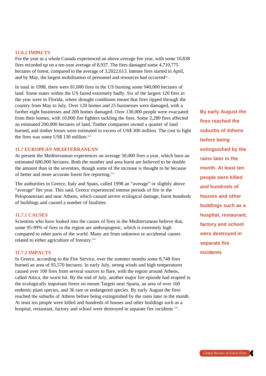#### **11.6.2 IMPACTS**

For the year as a whole Canada experienced an above average fire year, with some 10,838 fires recorded up on a ten-year average of 8,937. The fires damaged some 4,710,775 hectares of forest, compared to the average of 3,2022,613. Intense fires started in April, and by May, the largest mobilisation of personnel and resources had occurred<sup>211</sup>.

In total in 1998, there were 81,000 fires in the US burning some 940,000 hectares of land. Some states within the US faired extremely badly. Six of the largest 120 fires in the year were in Florida, where drought conditions meant that fires ripped through the country from May to July. Over 120 homes and 25 businesses were damaged, with a further eight businesses and 200 homes damaged. Over 130,000 people were evacuated from their homes, with 10,000 fire fighters tackling the fires. Some 2,280 fires affected an estimated 200,000 hectares of land. Timber companies owned a quarter of land burned, and timber losses were estimated in excess of US\$ 300 million. The cost to fight the fires was some US\$ 130 million.<sup>212</sup>

#### **11.7 EUROPEAN MEDITERRANEAN**

At present the Mediterranean experiences on average 50,000 fires a year, which burn an estimated 600,000 hectares. Both the number and area burnt are believed to be double the amount than in the seventies, though some of the increase is thought to be because of better and more accurate forest fire reporting.213

The authorities in Greece, Italy and Spain, called 1998 an "average" or slightly above "average" fire year. This said, Greece experienced intense periods of fire in the Peloponnesian and near Athens, which caused severe ecological damage, burnt hundreds of buildings and caused a number of fatalities.

#### **11.7.1 CAUSES**

Scientists who have looked into the causes of fires in the Mediterranean believe that, some 95-99% of fires in the region are anthropogenic, which is extremely high compared to other parts of the world. Many are from unknown or accidental causes related to either agriculture of forestry.214

#### **11.7.2 IMPACTS**

In Greece, according to the Fire Service, over the summer months some 8,748 fires burned an area of 95,570 hectares. In early July, strong winds and high temperatures caused over 100 fires from several sources to flare, with the region around Athens, called Attica, the worst hit. By the end of July, another major fire episode had erupted in the ecologically important forest on mount Targets near Sparta, an area of over 160 endemic plant species, and 36 rare or endangered species. By early August the fires reached the suburbs of Athens before being extinguished by the rains later in the month. At least ten people were killed and hundreds of houses and other buildings such as a hospital, restaurant, factory and school were destroyed in separate fire incidents <sup>215</sup>.

**By early August the fires reached the suburbs of Athens before being extinguished by the rains later in the month. At least ten people were killed and hundreds of houses and other buildings such as a hospital, restaurant, factory and school were destroyed in separate fire incidents**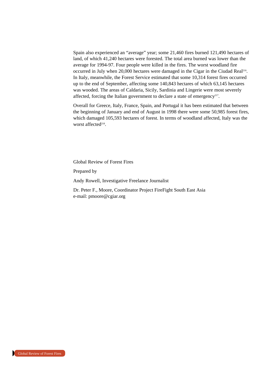Spain also experienced an "average" year; some 21,460 fires burned 121,490 hectares of land, of which 41,240 hectares were forested. The total area burned was lower than the average for 1994-97. Four people were killed in the fires. The worst woodland fire occurred in July when 20,000 hectares were damaged in the Cigar in the Ciudad Real216. In Italy, meanwhile, the Forest Service estimated that some 10,314 forest fires occurred up to the end of September, affecting some 140,843 hectares of which 63,145 hectares was wooded. The areas of Caldaria, Sicily, Sardinia and Lingerie were most severely affected, forcing the Italian government to declare a state of emergency<sup>217</sup>.

Overall for Greece, Italy, France, Spain, and Portugal it has been estimated that between the beginning of January and end of August in 1998 there were some 50,985 forest fires, which damaged 105,593 hectares of forest. In terms of woodland affected, Italy was the worst affected<sup>218</sup>.

Global Review of Forest Fires

Prepared by

Andy Rowell, Investigative Freelance Journalist

Dr. Peter F., Moore, Coordinator Project FireFight South East Asia e-mail: pmoore@cgiar.org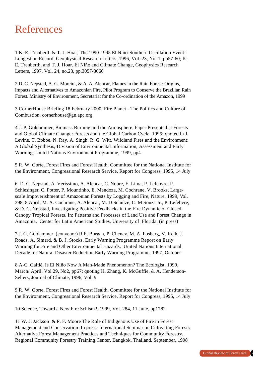## References

1 K. E. Trenberth & T. J. Hoar, The 1990-1995 El Niño-Southern Oscillation Event: Longest on Record, Geophysical Research Letters, 1996, Vol. 23, No. 1, pp57-60; K. E. Trenberth, and T. J. Hoar. El Niño and Climate Change, Geophysics Research Letters, 1997, Vol. 24, no.23, pp.3057-3060

2 D. C. Nepstad, A. G. Moreira, & A. A. Alencar, Flames in the Rain Forest: Origins, Impacts and Alternatives to Amazonian Fire, Pilot Program to Conserve the Brazilian Rain Forest. Ministry of Environment, Secretariat for the Co-ordination of the Amazon, 1999

3 CornerHouse Briefing 18 February 2000. Fire Planet - The Politics and Culture of Combustion. cornerhouse@gn.apc.org

4 J. P. Goldammer, Biomass Burning and the Atmosphere, Paper Presented at Forests and Global Climate Change: Forests and the Global Carbon Cycle, 1995; quoted in J. Levine, T. Bobbe, N. Ray, A. Singh, R. G. Witt, Wildland Fires and the Environment: A Global Synthesis, Division of Environmental Information, Assessment and Early Warning, United Nations Environment Programme, 1999, pp4

5 R. W. Gorte, Forest Fires and Forest Health, Committee for the National Institute for the Environment, Congressional Research Service, Report for Congress, 1995, 14 July

6 D. C. Nepstad, A. Veríssimo, A. Alencar, C. Nobre, E. Lima, P. Lefebvre, P. Schlesinger, C. Potter, P. Mountinho, E. Mendoza, M. Cochrane, V. Brooks, Largescale Impoverishment of Amazonian Forests by Logging and Fire, Nature, 1999, Vol. 398, 8 April; M. A. Cochrane, A. Alencar, M. D Schulze, C. M Souza Jr., P. Lefebvre, & D. C. Nepstad, Investigating Positive Feedbacks in the Fire Dynamic of Closed Canopy Tropical Forests. In: Patterns and Processes of Land Use and Forest Change in Amazonia. Center for Latin American Studies, University of Florida. (in press)

7 J. G. Goldammer, (convenor) R.E. Burgan, P. Cheney, M. A. Fosberg, V. Kelh, J. Roads, A. Simard, & B. J. Stocks. Early Warning Programme Report on Early Warning for Fire and Other Environmental Hazards, United Nations International Decade for Natural Disaster Reduction Early Warning Programme, 1997, October

8 A-C. Galtié, Is El Niño Now A Man-Made Phenomenon? The Ecologist, 1999, March/ April, Vol 29, No2, pp67; quoting H. Zhang, K. McGuffie, & A. Henderson-Sellers, Journal of Climate, 1996, Vol. 9

9 R. W. Gorte, Forest Fires and Forest Health, Committee for the National Institute for the Environment, Congressional Research Service, Report for Congress, 1995, 14 July

10 Science, Toward a New Fire Schism?, 1999, Vol. 284, 11 June, pp1782

11 W. J. Jackson & P. F. Moore The Role of Indigenous Use of Fire in Forest Management and Conservation. In press. International Seminar on Cultivating Forests: Alternative Forest Management Practices and Techniques for Community Forestry. Regional Community Forestry Training Center, Bangkok, Thailand. September, 1998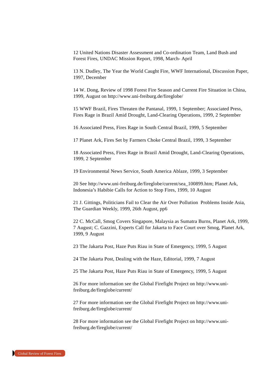12 United Nations Disaster Assessment and Co-ordination Team, Land Bush and Forest Fires, UNDAC Mission Report, 1998, March- April

13 N. Dudley, The Year the World Caught Fire, WWF International, Discussion Paper, 1997, December

14 W. Dong, Review of 1998 Forest Fire Season and Current Fire Situation in China, 1999, August on http://www.uni-freiburg.de/fireglobe/

15 WWF Brazil, Fires Threaten the Pantanal, 1999, 1 September; Associated Press, Fires Rage in Brazil Amid Drought, Land-Clearing Operations, 1999, 2 September

16 Associated Press, Fires Rage in South Central Brazil, 1999, 5 September

17 Planet Ark, Fires Set by Farmers Choke Central Brazil, 1999, 3 September

18 Associated Press, Fires Rage in Brazil Amid Drought, Land-Clearing Operations, 1999, 2 September

19 Environmental News Service, South America Ablaze, 1999, 3 September

20 See http://www.uni-freiburg.de/fireglobe/current/sea 100899.htm; Planet Ark, Indonesia's Habibie Calls for Action to Stop Fires, 1999, 10 August

21 J. Gittings, Politicians Fail to Clear the Air Over Pollution Problems Inside Asia, The Guardian Weekly, 1999, 26th August, pp6

22 C. McCall, Smog Covers Singapore, Malaysia as Sumatra Burns, Planet Ark, 1999, 7 August; C. Gazzini, Experts Call for Jakarta to Face Court over Smog, Planet Ark, 1999, 9 August

23 The Jakarta Post, Haze Puts Riau in State of Emergency, 1999, 5 August

24 The Jakarta Post, Dealing with the Haze, Editorial, 1999, 7 August

25 The Jakarta Post, Haze Puts Riau in State of Emergency, 1999, 5 August

26 For more information see the Global Firefight Project on http://www.unifreiburg.de/fireglobe/current/

27 For more information see the Global Firefight Project on http://www.unifreiburg.de/fireglobe/current/

28 For more information see the Global Firefight Project on http://www.unifreiburg.de/fireglobe/current/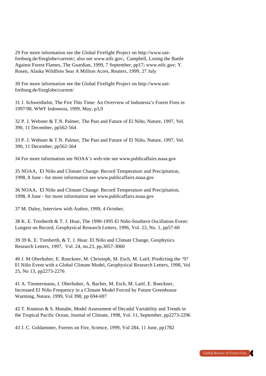29 For more information see the Global Firefight Project on http://www.unifreiburg.de/fireglobe/current/; also see www.nifc.gov;. Campbell, Losing the Battle Against Forest Flames, The Guardian, 1999, 7 September, pp17; www.nifc.gov; Y. Rosen, Alaska Wildfires Sear A Million Acres, Reuters, 1999, 27 July

30 For more information see the Global Firefight Project on http://www.unifreiburg.de/fireglobe/current/

31 J. Schweithelm, The Fire This Time: An Overview of Indonesia's Forest Fires in 1997/98, WWF Indonesia, 1999, May, p3,9

 $32$  P. J. Webster  $&$  T.N. Palmer, The Past and Future of El Niño, Nature, 1997, Vol. 390, 11 December, pp562-564

33 P. J. Webster  $&$  T.N. Palmer, The Past and Future of El Niño, Nature, 1997, Vol. 390, 11 December, pp562-564

34 For more information see NOAA's web-site see www.publicaffairs.noaa.gov

35 NOAA, El Niño and Climate Change: Record Temperature and Precipitation, 1998, 8 June - for more information see www.publicaffairs.noaa.gov

36 NOAA, El Niño and Climate Change: Record Temperature and Precipitation, 1998, 8 June - for more information see www.publicaffairs.noaa.gov

37 M. Daley, Interview with Author, 1999, 4 October,

38 K. E. Trenberth & T. J. Hoar, The 1990-1995 El Niño-Southern Oscillation Event: Longest on Record, Geophysical Research Letters, 1996, Vol. 23, No. 1, pp57-60

39 39 K. E. Trenberth, & T. J. Hoar. El Niño and Climate Change, Geophysics Research Letters, 1997, Vol. 24, no.23, pp.3057-3060

40 J. M Oberhuber, E. Roeckner, M. Christoph, M. Esch, M. Latif, Predicting the '97 El Niño Event with a Global Climate Model, Geophysical Research Letters, 1998, Vol 25, No 13, pp2273-2276

41 A. Timmermann, J. Oberhuber, A. Bacher, M. Esch, M. Latif, E. Roeckner, Increased El Niño Frequency in a Climate Model Forced by Future Greenhouse Warming, Nature, 1999, Vol 398, pp 694-697

42 T. Knutson & S. Manabe, Model Assessment of Decadal Variability and Trends in the Tropical Pacific Ocean, Journal of Climate, 1998, Vol. 11, September, pp2273-2296

43 J. C. Goldammer, Forests on Fire, Science, 1999, Vol 284, 11 June, pp1782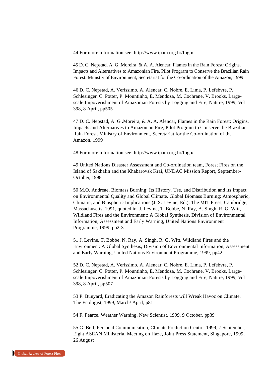44 For more information see: http://www.ipam.org.br/fogo/

45 D. C. Nepstad, A. G. Moreira, & A. A. Alencar, Flames in the Rain Forest: Origins, Impacts and Alternatives to Amazonian Fire, Pilot Program to Conserve the Brazilian Rain Forest. Ministry of Environment, Secretariat for the Co-ordination of the Amazon, 1999

46 D. C. Nepstad, A. Veríssimo, A. Alencar, C. Nobre, E. Lima, P. Lefebvre, P. Schlesinger, C. Potter, P. Mountinho, E. Mendoza, M. Cochrane, V. Brooks, Largescale Impoverishment of Amazonian Forests by Logging and Fire, Nature, 1999, Vol 398, 8 April, pp505

47 D. C. Nepstad, A. G. Moreira, & A. A. Alencar, Flames in the Rain Forest: Origins, Impacts and Alternatives to Amazonian Fire, Pilot Program to Conserve the Brazilian Rain Forest. Ministry of Environment, Secretariat for the Co-ordination of the Amazon, 1999

48 For more information see: http://www.ipam.org.br/fogo/

49 United Nations Disaster Assessment and Co-ordination team, Forest Fires on the Island of Sakhalin and the Khabarovsk Krai, UNDAC Mission Report, September-October, 1998

50 M.O. Andreae, Biomass Burning: Its History, Use, and Distribution and its Impact on Environmental Quality and Global Climate. Global Biomass Burning: Atmospheric, Climatic, and Biospheric Implications (J. S. Levine, Ed.). The MIT Press, Cambridge, Massachusetts, 1991, quoted in J. Levine, T. Bobbe, N. Ray, A. Singh, R. G. Witt, Wildland Fires and the Environment: A Global Synthesis, Division of Environmental Information, Assessment and Early Warning, United Nations Environment Programme, 1999, pp2-3

51 J. Levine, T. Bobbe, N. Ray, A. Singh, R. G. Witt, Wildland Fires and the Environment: A Global Synthesis, Division of Environmental Information, Assessment and Early Warning, United Nations Environment Programme, 1999, pp42

52 D. C. Nepstad, A. Veríssimo, A. Alencar, C. Nobre, E. Lima, P. Lefebvre, P. Schlesinger, C. Potter, P. Mountinho, E. Mendoza, M. Cochrane, V. Brooks, Largescale Impoverishment of Amazonian Forests by Logging and Fire, Nature, 1999, Vol 398, 8 April, pp507

53 P. Bunyard, Eradicating the Amazon Rainforests will Wreak Havoc on Climate, The Ecologist, 1999, March/ April, p81

54 F. Pearce, Weather Warning, New Scientist, 1999, 9 October, pp39

55 G. Bell, Personal Communication, Climate Prediction Centre, 1999, 7 September; Eight ASEAN Ministerial Meeting on Haze, Joint Press Statement, Singapore, 1999, 26 August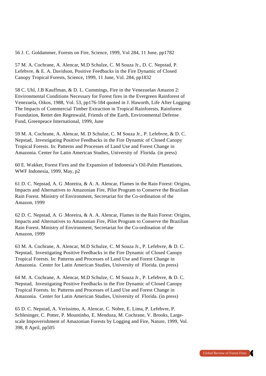56 J. C. Goldammer, Forests on Fire, Science, 1999, Vol 284, 11 June, pp1782

57 M. A. Cochrane, A. Alencar, M.D Schulze, C. M Souza Jr., D. C. Nepstad, P. Lefebvre, & E. A. Davidson, Positive Feedbacks in the Fire Dynamic of Closed Canopy Tropical Forests, Science, 1999, 11 June, Vol. 284, pp1832

58 C. Uhl, J.B Kauffman, & D. L. Cummings, Fire in the Venezuelan Amazon 2: Environmental Conditions Necessary for Forest fires in the Evergreen Rainforest of Venezuela, Oikos, 1988, Vol. 53, pp176-184 quoted in J. Haworth, Life After Logging: The Impacts of Commercial Timber Extraction in Tropical Rainforests, Rainforest Foundation, Rettet den Regenwald, Friends of the Earth, Environmental Defense Fund, Greenpeace International, 1999, June

59 M. A. Cochrane, A. Alencar, M. D Schulze, C. M Souza Jr., P. Lefebvre, & D. C. Nepstad, Investigating Positive Feedbacks in the Fire Dynamic of Closed Canopy Tropical Forests. In: Patterns and Processes of Land Use and Forest Change in Amazonia. Center for Latin American Studies, University of Florida. (in press)

60 E. Wakker, Forest Fires and the Expansion of Indonesia's Oil-Palm Plantations, WWF Indonesia, 1999, May, p2

61 D. C. Nepstad, A. G. Moreira, & A. A. Alencar, Flames in the Rain Forest: Origins, Impacts and Alternatives to Amazonian Fire, Pilot Program to Conserve the Brazilian Rain Forest. Ministry of Environment, Secretariat for the Co-ordination of the Amazon, 1999

62 D. C. Nepstad, A. G. Moreira, & A. A. Alencar, Flames in the Rain Forest: Origins, Impacts and Alternatives to Amazonian Fire, Pilot Program to Conserve the Brazilian Rain Forest. Ministry of Environment, Secretariat for the Co-ordination of the Amazon, 1999

63 M. A. Cochrane, A. Alencar, M.D Schulze, C. M Souza Jr., P. Lefebvre, & D. C. Nepstad, Investigating Positive Feedbacks in the Fire Dynamic of Closed Canopy Tropical Forests. In: Patterns and Processes of Land Use and Forest Change in Amazonia. Center for Latin American Studies, University of Florida. (in press)

64 M. A. Cochrane, A. Alencar, M.D Schulze, C. M Souza Jr., P. Lefebvre, & D. C. Nepstad, Investigating Positive Feedbacks in the Fire Dynamic of Closed Canopy Tropical Forests. In: Patterns and Processes of Land Use and Forest Change in Amazonia. Center for Latin American Studies, University of Florida. (in press)

65 D. C. Nepstad, A. Veríssimo, A. Alencar, C. Nobre, E. Lima, P. Lefebvre, P. Schlesinger, C. Potter, P. Mountinho, E. Mendoza, M. Cochrane, V. Brooks, Largescale Impoverishment of Amazonian Forests by Logging and Fire, Nature, 1999, Vol. 398, 8 April, pp505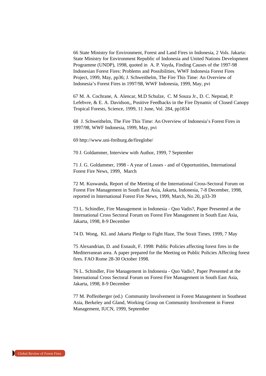66 State Ministry for Environment, Forest and Land Fires in Indonesia, 2 Vols. Jakarta: State Ministry for Environment Republic of Indonesia and United Nations Development Programme (UNDP), 1998, quoted in A. P. Vayda, Finding Causes of the 1997-98 Indonesian Forest Fires: Problems and Possibilities, WWF Indonesia Forest Fires Project, 1999, May, pp36; J. Schweithelm, The Fire This Time: An Overview of Indonesia's Forest Fires in 1997/98, WWF Indonesia, 1999, May, pvi

67 M. A. Cochrane, A. Alencar, M.D Schulze, C. M Souza Jr., D. C. Nepstad, P. Lefebvre, & E. A. Davidson,, Positive Feedbacks in the Fire Dynamic of Closed Canopy Tropical Forests, Science, 1999, 11 June, Vol. 284, pp1834

68 J. Schweithelm, The Fire This Time: An Overview of Indonesia's Forest Fires in 1997/98, WWF Indonesia, 1999, May, pvi

69 http://www.uni-freiburg.de/fireglobe/

70 J. Goldammer, Interview with Author, 1999, 7 September

71 J. G. Goldammer, 1998 - A year of Losses - and of Opportunities, International Forest Fire News, 1999, March

72 M. Kuswanda, Report of the Meeting of the International Cross-Sectoral Forum on Forest Fire Management in South East Asia, Jakarta, Indonesia, 7-8 December, 1998, reported in International Forest Fire News, 1999, March, No 20, p33-39

73 L. Schindler, Fire Management in Indonesia - Quo Vadis?, Paper Presented at the International Cross Sectoral Forum on Forest Fire Management in South East Asia, Jakarta, 1998, 8-9 December

74 D. Wong, KL and Jakarta Pledge to Fight Haze, The Strait Times, 1999, 7 May

75 Alexandrian, D. and Esnault, F. 1998: Public Policies affecting forest fires in the Mediterranean area. A paper prepared for the Meeting on Public Policies Affecting forest fires. FAO Rome 28-30 October 1998.

76 L. Schindler, Fire Management in Indonesia - Quo Vadis?, Paper Presented at the International Cross Sectoral Forum on Forest Fire Management in South East Asia, Jakarta, 1998, 8-9 December

77 M. Poffenberger (ed.) Community Involvement in Forest Management in Southeast Asia, Berkeley and Gland, Working Group on Community Involvement in Forest Management, IUCN, 1999, September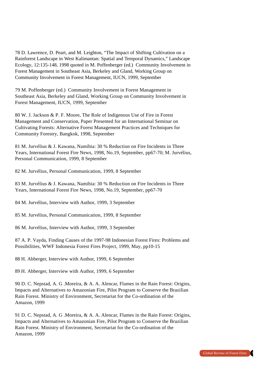78 D. Lawrence, D. Peart, and M. Leighton, "The Impact of Shifting Cultivation on a Rainforest Landscape in West Kalimantan: Spatial and Temporal Dynamics," Landscape Ecology, 12:135-148, 1998 quoted in M. Poffenberger (ed.) Community Involvement in Forest Management in Southeast Asia, Berkeley and Gland, Working Group on Community Involvement in Forest Management, IUCN, 1999, September

79 M. Poffenberger (ed.) Community Involvement in Forest Management in Southeast Asia, Berkeley and Gland, Working Group on Community Involvement in Forest Management, IUCN, 1999, September

80 W. J. Jackson & P. F. Moore, The Role of Indigenous Use of Fire in Forest Management and Conservation, Paper Presented for an International Seminar on Cultivating Forests: Alternative Forest Management Practices and Techniques for Community Forestry, Bangkok, 1998, September

81 M. Jurvélius & J. Kawana, Namibia:  $30%$  Reduction on Fire Incidents in Three Years, International Forest Fire News, 1998, No.19, September, pp67-70; M. Jurvélius, Personal Communication, 1999, 8 September

82 M. Jurvélius, Personal Communication, 1999, 8 September

83 M. Jurvélius & J. Kawana, Namibia:  $30\%$  Reduction on Fire Incidents in Three Years, International Forest Fire News, 1998, No.19, September, pp67-70

84 M. Jurvélius, Interview with Author, 1999, 3 September

85 M. Jurvélius, Personal Communication, 1999, 8 September

86 M. Jurvélius, Interview with Author, 1999, 3 September

87 A. P. Vayda, Finding Causes of the 1997-98 Indonesian Forest Fires: Problems and Possibilities, WWF Indonesia Forest Fires Project, 1999, May, pp10-15

88 H. Abberger, Interview with Author, 1999, 6 September

89 H. Abberger, Interview with Author, 1999, 6 September

90 D. C. Nepstad, A. G. Moreira, & A. A. Alencar, Flames in the Rain Forest: Origins, Impacts and Alternatives to Amazonian Fire, Pilot Program to Conserve the Brazilian Rain Forest. Ministry of Environment, Secretariat for the Co-ordination of the Amazon, 1999

91 D. C. Nepstad, A. G. Moreira, & A. A. Alencar, Flames in the Rain Forest: Origins, Impacts and Alternatives to Amazonian Fire, Pilot Program to Conserve the Brazilian Rain Forest. Ministry of Environment, Secretariat for the Co-ordination of the Amazon, 1999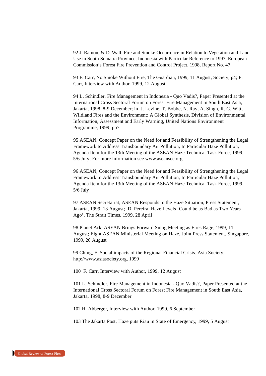92 J. Ramon, & D. Wall. Fire and Smoke Occurrence in Relation to Vegetation and Land Use in South Sumatra Province, Indonesia with Particular Reference to 1997, European Commission's Forest Fire Prevention and Control Project, 1998, Report No. 47

93 F. Carr, No Smoke Without Fire, The Guardian, 1999, 11 August, Society, p4; F. Carr, Interview with Author, 1999, 12 August

94 L. Schindler, Fire Management in Indonesia - Quo Vadis?, Paper Presented at the International Cross Sectoral Forum on Forest Fire Management in South East Asia, Jakarta, 1998, 8-9 December; in J. Levine, T. Bobbe, N. Ray, A. Singh, R. G. Witt, Wildland Fires and the Environment: A Global Synthesis, Division of Environmental Information, Assessment and Early Warning, United Nations Environment Programme, 1999, pp7

95 ASEAN, Concept Paper on the Need for and Feasibility of Strengthening the Legal Framework to Address Transboundary Air Pollution, In Particular Haze Pollution, Agenda Item for the 13th Meeting of the ASEAN Haze Technical Task Force, 1999, 5/6 July; For more information see www.aseansec.org

96 ASEAN, Concept Paper on the Need for and Feasibility of Strengthening the Legal Framework to Address Transboundary Air Pollution, In Particular Haze Pollution, Agenda Item for the 13th Meeting of the ASEAN Haze Technical Task Force, 1999, 5/6 July

97 ASEAN Secretariat, ASEAN Responds to the Haze Situation, Press Statement, Jakarta, 1999, 13 August; D. Pereira, Haze Levels 'Could be as Bad as Two Years Ago', The Strait Times, 1999, 28 April

98 Planet Ark, ASEAN Brings Forward Smog Meeting as Fires Rage, 1999, 11 August; Eight ASEAN Ministerial Meeting on Haze, Joint Press Statement, Singapore, 1999, 26 August

99 Ching, F. Social impacts of the Regional Financial Crisis. Asia Society; http://www.asiasociety.org, 1999

100 F. Carr, Interview with Author, 1999, 12 August

101 L. Schindler, Fire Management in Indonesia - Quo Vadis?, Paper Presented at the International Cross Sectoral Forum on Forest Fire Management in South East Asia, Jakarta, 1998, 8-9 December

102 H. Abberger, Interview with Author, 1999, 6 September

103 The Jakarta Post, Haze puts Riau in State of Emergency, 1999, 5 August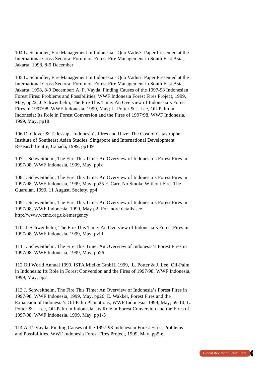104 L. Schindler, Fire Management in Indonesia - Quo Vadis?, Paper Presented at the International Cross Sectoral Forum on Forest Fire Management in South East Asia. Jakarta, 1998, 8-9 December

105 L. Schindler, Fire Management in Indonesia - Quo Vadis?, Paper Presented at the International Cross Sectoral Forum on Forest Fire Management in South East Asia, Jakarta, 1998, 8-9 December; A. P. Vayda, Finding Causes of the 1997-98 Indonesian Forest Fires: Problems and Possibilities, WWF Indonesia Forest Fires Project, 1999, May, pp22; J. Schweithelm, The Fire This Time: An Overview of Indonesia's Forest Fires in 1997/98, WWF Indonesia, 1999, May; L. Potter & J. Lee, Oil-Palm in Indonesia: Its Role in Forest Conversion and the Fires of 1997/98, WWF Indonesia, 1999, May, pp18

106 D. Glover & T. Jessup, Indonesia's Fires and Haze: The Cost of Catastrophe, Institute of Southeast Asian Studies, Singapore and International Development Research Centre, Canada, 1999, pp149

107 J. Schweithelm, The Fire This Time: An Overview of Indonesia's Forest Fires in 1997/98, WWF Indonesia, 1999, May, ppix

108 J. Schweithelm, The Fire This Time: An Overview of Indonesia's Forest Fires in 1997/98, WWF Indonesia, 1999, May, pp25 F. Carr, No Smoke Without Fire, The Guardian, 1999, 11 August, Society, pp4

109 J. Schweithelm, The Fire This Time: An Overview of Indonesia's Forest Fires in 1997/98, WWF Indonesia, 1999, May p2; For more details see http://www.wcmc.org.uk/emergency

110 J. Schweithelm, The Fire This Time: An Overview of Indonesia's Forest Fires in 1997/98, WWF Indonesia, 1999, May, pviii

111 J. Schweithelm, The Fire This Time: An Overview of Indonesia's Forest Fires in 1997/98, WWF Indonesia, 1999, May, pp26

112 Oil World Annual 1999, ISTA Mielke GmbH, 1999, L. Potter & J. Lee, Oil-Palm in Indonesia: Its Role in Forest Conversion and the Fires of 1997/98, WWF Indonesia, 1999, May, pp2

113 J. Schweithelm, The Fire This Time: An Overview of Indonesia's Forest Fires in 1997/98, WWF Indonesia, 1999, May, pp26; E. Wakker, Forest Fires and the Expansion of Indonesia's Oil-Palm Plantations, WWF Indonesia, 1999, May, p9-10; L. Potter & J. Lee, Oil-Palm in Indonesia: Its Role in Forest Conversion and the Fires of 1997/98, WWF Indonesia, 1999, May, pp1-5

114 A. P. Vayda, Finding Causes of the 1997-98 Indonesian Forest Fires: Problems and Possibilities, WWF Indonesia Forest Fires Project, 1999, May, pp5-6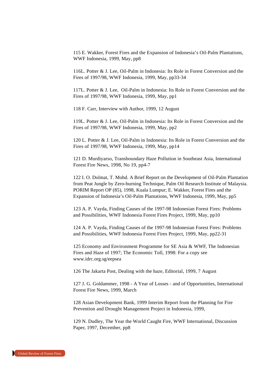115 E. Wakker, Forest Fires and the Expansion of Indonesia's Oil-Palm Plantations, WWF Indonesia, 1999, May, pp8

116L. Potter & J. Lee, Oil-Palm in Indonesia: Its Role in Forest Conversion and the Fires of 1997/98, WWF Indonesia, 1999, May, pp33-34

117L. Potter & J. Lee, Oil-Palm in Indonesia: Its Role in Forest Conversion and the Fires of 1997/98, WWF Indonesia, 1999, May, pp1

118 F. Carr, Interview with Author, 1999, 12 August

119L. Potter & J. Lee, Oil-Palm in Indonesia: Its Role in Forest Conversion and the Fires of 1997/98, WWF Indonesia, 1999, May, pp2

120 L. Potter & J. Lee, Oil-Palm in Indonesia: Its Role in Forest Conversion and the Fires of 1997/98, WWF Indonesia, 1999, May, pp14

121 D. Murdiyarso, Transboundary Haze Pollution in Southeast Asia, International Forest Fire News, 1998, No 19, pp4-7

122 I. O. Dolmat, T. Mohd. A Brief Report on the Development of Oil-Palm Plantation from Peat Jungle by Zero-burning Technique, Palm Oil Research Institute of Malaysia. PORIM Report OP (85), 1998, Kuala Lumpur; E. Wakker, Forest Fires and the Expansion of Indonesia's Oil-Palm Plantations, WWF Indonesia, 1999, May, pp5

123 A. P. Vayda, Finding Causes of the 1997-98 Indonesian Forest Fires: Problems and Possibilities, WWF Indonesia Forest Fires Project, 1999, May, pp10

124 A. P. Vayda, Finding Causes of the 1997-98 Indonesian Forest Fires: Problems and Possibilities, WWF Indonesia Forest Fires Project, 1999, May, pp22-31

125 Economy and Environment Programme for SE Asia & WWF, The Indonesian Fires and Haze of 1997; The Economic Toll, 1998: For a copy see www.idrc.org.sg/eepsea

126 The Jakarta Post, Dealing with the haze, Editorial, 1999, 7 August

127 J. G. Goldammer, 1998 - A Year of Losses - and of Opportunities, International Forest Fire News, 1999, March

128 Asian Development Bank, 1999 Interim Report from the Planning for Fire Prevention and Drought Management Project in Indonesia, 1999,

129 N. Dudley, The Year the World Caught Fire, WWF International, Discussion Paper, 1997, December, pp8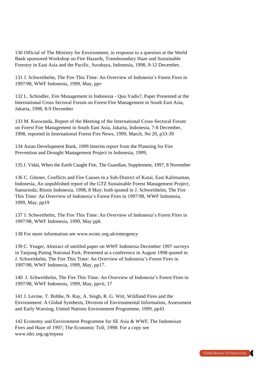130 Official of The Ministry for Environment, in response to a question at the World Bank sponsored Workshop on Fire Hazards, Transboundary Haze and Sustainable Forestry in East Asia and the Pacific, Surabaya, Indonesia, 1998, 9-12 December.

131 J. Schweithelm, The Fire This Time: An Overview of Indonesia's Forest Fires in 1997/98, WWF Indonesia, 1999, May, ppv

132 L. Schindler, Fire Management in Indonesia - Quo Vadis?, Paper Presented at the International Cross Sectoral Forum on Forest Fire Management in South East Asia, Jakarta, 1998, 8-9 December

133 M. Kuswanda, Report of the Meeting of the International Cross-Sectoral Forum on Forest Fire Management in South East Asia, Jakarta, Indonesia, 7-8 December, 1998, reported in International Forest Fire News, 1999, March, No 20, p33-39

134 Asian Development Bank, 1999 Interim report from the Planning for Fire Prevention and Drought Management Project in Indonesia, 1999,

135 J. Vidal, When the Earth Caught Fire, The Guardian, Supplement, 1997, 8 November

136 C. Gönner, Conflicts and Fire Causes in a Sub-District of Kutai, East Kalimantan, Indonesia, An unpublished report of the GTZ Sustainable Forest Management Project, Samarinda; Bisnis Indonesia, 1998, 8 May; both quoted in J. Schweithelm, The Fire This Time: An Overview of Indonesia's Forest Fires in 1997/98, WWF Indonesia, 1999, May, pp19

137 J. Schweithelm, The Fire This Time: An Overview of Indonesia's Forest Fires in 1997/98, WWF Indonesia, 1999, May pp6

138 For more information see www.wcmc.org.uk/emergency

139 C. Yeager, Abstract of untitled paper on WWF Indonesia December 1997 surveys in Tanjung Puting National Park. Presented at a conference in August 1998 quoted in J. Schweithelm, The Fire This Time: An Overview of Indonesia's Forest Fires in 1997/98, WWF Indonesia, 1999, May, pp17.

140 J. Schweithelm, The Fire This Time: An Overview of Indonesia's Forest Fires in 1997/98, WWF Indonesia, 1999, May, ppvii, 17

141 J. Levine, T. Bobbe, N. Ray, A. Singh, R. G. Witt, Wildland Fires and the Environment: A Global Synthesis, Division of Environmental Information, Assessment and Early Warning, United Nations Environment Programme, 1999, pp43

142 Economy and Environment Programme for SE Asia & WWF, The Indonesian Fires and Haze of 1997; The Economic Toll, 1998: For a copy see www.idrc.org.sg/eepsea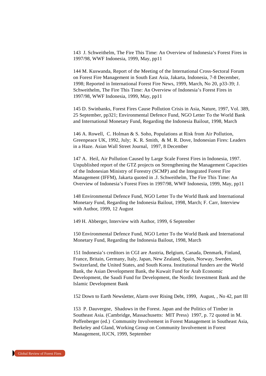143 J. Schweithelm, The Fire This Time: An Overview of Indonesia's Forest Fires in 1997/98, WWF Indonesia, 1999, May, pp11

144 M. Kuswanda, Report of the Meeting of the International Cross-Sectoral Forum on Forest Fire Management in South East Asia, Jakarta, Indonesia, 7-8 December, 1998; Reported in International Forest Fire News, 1999, March, No 20, p33-39; J. Schweithelm, The Fire This Time: An Overview of Indonesia's Forest Fires in 1997/98, WWF Indonesia, 1999, May, pp11

145 D. Swinbanks, Forest Fires Cause Pollution Crisis in Asia, Nature, 1997, Vol. 389, 25 September, pp321; Environmental Defence Fund, NGO Letter To the World Bank and International Monetary Fund, Regarding the Indonesia Bailout, 1998, March

146 A. Rowell, C. Holman & S. Soho, Populations at Risk from Air Pollution, Greenpeace UK, 1992, July; K. R. Smith, & M. R. Dove, Indonesian Fires: Leaders in a Haze. Asian Wall Street Journal, 1997, 8 December

147 A. Heil, Air Pollution Caused by Large Scale Forest Fires in Indonesia, 1997. Unpublished report of the GTZ projects on Strengthening the Management Capacities of the Indonesian Ministry of Forestry (SCMP) and the Integrated Forest Fire Management (IFFM), Jakarta quoted in .J. Schweithelm, The Fire This Time: An Overview of Indonesia's Forest Fires in 1997/98, WWF Indonesia, 1999, May, pp11

148 Environmental Defence Fund, NGO Letter To the World Bank and International Monetary Fund, Regarding the Indonesia Bailout, 1998, March; F. Carr, Interview with Author, 1999, 12 August

149 H. Abberger, Interview with Author, 1999, 6 September

150 Environmental Defence Fund, NGO Letter To the World Bank and International Monetary Fund, Regarding the Indonesia Bailout, 1998, March

151 Indonesia's creditors in CGI are Austria, Belgium, Canada, Denmark, Finland, France, Britain, Germany, Italy, Japan, New Zealand, Spain, Norway, Sweden, Switzerland, the United States, and South Korea. Institutional funders are the World Bank, the Asian Development Bank, the Kuwait Fund for Arab Economic Development, the Saudi Fund for Development, the Nordic Investment Bank and the Islamic Development Bank

152 Down to Earth Newsletter, Alarm over Rising Debt, 1999, August, , No 42, part III

153 P. Dauvergne, Shadows in the Forest. Japan and the Politics of Timber in Southeast Asia. (Cambridge, Massachusetts: MIT Press) 1997, p. 72 quoted in M. Poffenberger (ed.) Community Involvement in Forest Management in Southeast Asia, Berkeley and Gland, Working Group on Community Involvement in Forest Management, IUCN, 1999, September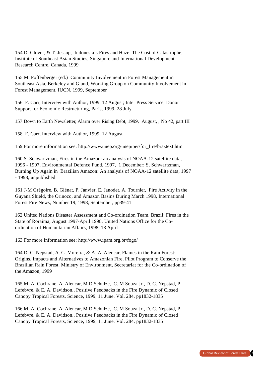154 D. Glover, & T. Jessup, Indonesia's Fires and Haze: The Cost of Catastrophe, Institute of Southeast Asian Studies, Singapore and International Development Research Centre, Canada, 1999

155 M. Poffenberger (ed.) Community Involvement in Forest Management in Southeast Asia, Berkeley and Gland, Working Group on Community Involvement in Forest Management, IUCN, 1999, September

156 F. Carr, Interview with Author, 1999, 12 August; Inter Press Service, Donor Support for Economic Restructuring, Paris, 1999, 28 July

157 Down to Earth Newsletter, Alarm over Rising Debt, 1999, August, , No 42, part III

158 F. Carr, Interview with Author, 1999, 12 August

159 For more information see: http://www.unep.org/unep/per/for fire/braztext.htm

160 S. Schwartzman, Fires in the Amazon: an analysis of NOAA-12 satellite data, 1996 - 1997, Environmental Defence Fund, 1997, 1 December; S. Schwartzman, Burning Up Again in Brazilian Amazon: An analysis of NOAA-12 satellite data, 1997 - 1998, unpublished

161 J-M Grégoire. B. Glénat, P. Janvier, E. Janodet, A. Tournier, Fire Activity in the Guyana Shield, the Orinoco, and Amazon Basins During March 1998, International Forest Fire News, Number 19, 1998, September, pp39-41

162 United Nations Disaster Assessment and Co-ordination Team, Brazil: Fires in the State of Roraima, August 1997-April 1998, United Nations Office for the Coordination of Humanitarian Affairs, 1998, 13 April

163 For more information see: http://www.ipam.org.br/fogo/

164 D. C. Nepstad, A. G. Moreira, & A. A. Alencar, Flames in the Rain Forest: Origins, Impacts and Alternatives to Amazonian Fire, Pilot Program to Conserve the Brazilian Rain Forest. Ministry of Environment, Secretariat for the Co-ordination of the Amazon, 1999

165 M. A. Cochrane, A. Alencar, M.D Schulze, C. M Souza Jr., D. C. Nepstad, P. Lefebvre, & E. A. Davidson,, Positive Feedbacks in the Fire Dynamic of Closed Canopy Tropical Forests, Science, 1999, 11 June, Vol. 284, pp1832-1835

166 M. A. Cochrane, A. Alencar, M.D Schulze, C. M Souza Jr., D. C. Nepstad, P. Lefebvre, & E. A. Davidson,, Positive Feedbacks in the Fire Dynamic of Closed Canopy Tropical Forests, Science, 1999, 11 June, Vol. 284, pp1832-1835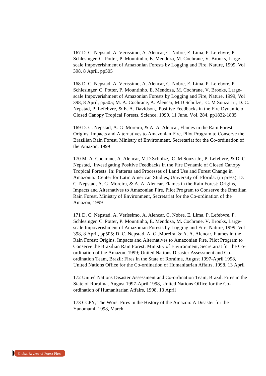167 D. C. Nepstad, A. Veríssimo, A. Alencar, C. Nobre, E. Lima, P. Lefebvre, P. Schlesinger, C. Potter, P. Mountinho, E. Mendoza, M. Cochrane, V. Brooks, Largescale Impoverishment of Amazonian Forests by Logging and Fire, Nature, 1999, Vol 398, 8 April, pp505

168 D. C. Nepstad, A. Veríssimo, A. Alencar, C. Nobre, E. Lima, P. Lefebvre, P. Schlesinger, C. Potter, P. Mountinho, E. Mendoza, M. Cochrane, V. Brooks, Largescale Impoverishment of Amazonian Forests by Logging and Fire, Nature, 1999, Vol 398, 8 April, pp505; M. A. Cochrane, A. Alencar, M.D Schulze, C. M Souza Jr., D. C. Nepstad, P. Lefebvre, & E. A. Davidson,, Positive Feedbacks in the Fire Dynamic of Closed Canopy Tropical Forests, Science, 1999, 11 June, Vol. 284, pp1832-1835

169 D. C. Nepstad, A. G. Moreira, & A. A. Alencar, Flames in the Rain Forest: Origins, Impacts and Alternatives to Amazonian Fire, Pilot Program to Conserve the Brazilian Rain Forest. Ministry of Environment, Secretariat for the Co-ordination of the Amazon, 1999

170 M. A. Cochrane, A. Alencar, M.D Schulze, C. M Souza Jr., P. Lefebvre, & D. C. Nepstad, Investigating Positive Feedbacks in the Fire Dynamic of Closed Canopy Tropical Forests. In: Patterns and Processes of Land Use and Forest Change in Amazonia. Center for Latin American Studies, University of Florida. (in press); D. C. Nepstad, A. G. Moreira, & A. A. Alencar, Flames in the Rain Forest: Origins, Impacts and Alternatives to Amazonian Fire, Pilot Program to Conserve the Brazilian Rain Forest. Ministry of Environment, Secretariat for the Co-ordination of the Amazon, 1999

171 D. C. Nepstad, A. Veríssimo, A. Alencar, C. Nobre, E. Lima, P. Lefebvre, P. Schlesinger, C. Potter, P. Mountinho, E. Mendoza, M. Cochrane, V. Brooks, Largescale Impoverishment of Amazonian Forests by Logging and Fire, Nature, 1999, Vol 398, 8 April, pp505; D. C. Nepstad, A. G. Moreira, & A. A. Alencar, Flames in the Rain Forest: Origins, Impacts and Alternatives to Amazonian Fire, Pilot Program to Conserve the Brazilian Rain Forest. Ministry of Environment, Secretariat for the Coordination of the Amazon, 1999; United Nations Disaster Assessment and Coordination Team, Brazil: Fires in the State of Roraima, August 1997-April 1998, United Nations Office for the Co-ordination of Humanitarian Affairs, 1998, 13 April

172 United Nations Disaster Assessment and Co-ordination Team, Brazil: Fires in the State of Roraima, August 1997-April 1998, United Nations Office for the Coordination of Humanitarian Affairs, 1998, 13 April

173 CCPY, The Worst Fires in the History of the Amazon: A Disaster for the Yanomami, 1998, March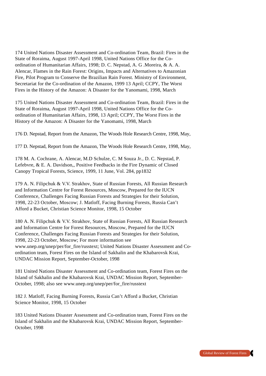174 United Nations Disaster Assessment and Co-ordination Team, Brazil: Fires in the State of Roraima, August 1997-April 1998, United Nations Office for the Coordination of Humanitarian Affairs, 1998; D. C. Nepstad, A. G. Moreira, & A. A. A lencar, Flames in the Rain Forest: Origins, Impacts and Alternatives to A mazonian Fire, Pilot Program to Conserve the Brazilian Rain Forest. Ministry of Environment, Secretariat for the Co-ordination of the Amazon, 1999 13 April; CCPY, The Worst Fires in the History of the Amazon: A Disaster for the Yanomami, 1998, March

175 United Nations Disaster Assessment and Co-ordination Team, Brazil: Fires in the State of Roraima, August 1997-April 1998, United Nations Office for the Coordination of Humanitarian Affairs, 1998, 13 April; CCPY, The Worst Fires in the History of the Amazon: A Disaster for the Yanomami, 1998, March

176 D. Nepstad, Report from the Amazon, The Woods Hole Research Centre, 1998, May,

177 D. Nepstad, Report from the Amazon, The Woods Hole Research Centre, 1998, May,

178 M. A. Cochrane, A. Alencar, M.D Schulze, C. M Souza Jr., D. C. Nepstad, P. Lefebvre, & E. A. Davidson,, Positive Feedbacks in the Fire Dynamic of Closed Canopy Tropical Forests, Science, 1999, 11 June, Vol. 284, pp1832

179 A. N. Filipchuk & V.V. Strakhov, State of Russian Forests, All Russian Research and Information Centre for Forest Resources, Moscow, Prepared for the IUCN Conference, Challenges Facing Russian Forests and Strategies for their Solution, 1998, 22-23 October, Moscow; J. Matloff, Facing Burning Forests, Russia Can't Afford a Bucket, Christian Science Monitor, 1998, 15 October

180 A. N. Filipchuk & V.V. Strakhov, State of Russian Forests, All Russian Research and Information Centre for Forest Resources, Moscow, Prepared for the IUCN Conference, Challenges Facing Russian Forests and Strategies for their Solution, 1998, 22-23 October, Moscow; For more information see www.unep.org/unep/per/for\_fire/russtext; United Nations Disaster Assessment and Coordination team, Forest Fires on the Island of Sakhalin and the Khabarovsk Krai, UNDAC Mission Report, September-October, 1998

181 United Nations Disaster Assessment and Co-ordination team, Forest Fires on the Island of Sakhalin and the Khabarovsk Krai, UNDAC Mission Report, September-October, 1998; also see www.unep.org/unep/per/for\_fire/russtext

182 J. Matloff, Facing Burning Forests, Russia Can't A fford a Bucket, Christian Science Monitor, 1998, 15 October

183 United Nations Disaster Assessment and Co-ordination team, Forest Fires on the Island of Sakhalin and the Khabarovsk Krai, UNDAC Mission Report, September-October, 1998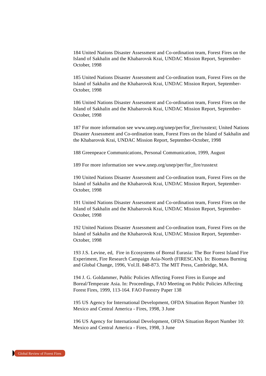184 United Nations Disaster Assessment and Co-ordination team, Forest Fires on the Island of Sakhalin and the Khabarovsk Krai, UNDAC Mission Report, September-October, 1998

185 United Nations Disaster Assessment and Co-ordination team, Forest Fires on the Island of Sakhalin and the Khabarovsk Krai, UNDAC Mission Report, September-October, 1998

186 United Nations Disaster Assessment and Co-ordination team, Forest Fires on the Island of Sakhalin and the Khabarovsk Krai, UNDAC Mission Report, September-October, 1998

187 For more information see www.unep.org/unep/per/for fire/russtext; United Nations Disaster Assessment and Co-ordination team, Forest Fires on the Island of Sakhalin and the Khabarovsk Krai, UNDAC Mission Report, September-October, 1998

188 Greenpeace Communications, Personal Communication, 1999, August

189 For more information see www.unep.org/unep/per/for fire/russtext

190 United Nations Disaster Assessment and Co-ordination team, Forest Fires on the Island of Sakhalin and the Khabarovsk Krai, UNDAC Mission Report, September-October, 1998

191 United Nations Disaster Assessment and Co-ordination team, Forest Fires on the Island of Sakhalin and the Khabarovsk Krai, UNDAC Mission Report, September-October, 1998

192 United Nations Disaster Assessment and Co-ordination team, Forest Fires on the Island of Sakhalin and the Khabarovsk Krai, UNDAC Mission Report, September-October, 1998

193 J.S. Levine, ed, Fire in Ecosystems of Boreal Eurasia: The Bor Forest Island Fire Experiment, Fire Research Campaign Asia-North (FIRESCAN). In: Biomass Burning and Global Change, 1996, Vol.II. 848-873. The MIT Press, Cambridge, MA.

194 J. G. Goldammer, Public Policies A ffecting Forest Fires in Europe and Boreal/Temperate Asia. In: Proceedings, FAO Meeting on Public Policies Affecting Forest Fires, 1999, 113-164. FAO Forestry Paper 138

195 US Agency for International Development, OFDA Situation Report Number 10: Mexico and Central America - Fires, 1998, 3 June

196 US Agency for International Development, OFDA Situation Report Number 10: Mexico and Central America - Fires, 1998, 3 June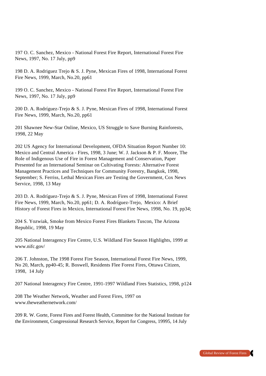197 O. C. Sanchez, Mexico - National Forest Fire Report, International Forest Fire News, 1997, No. 17 July, pp9

198 D. A. Rodriguez Trejo & S. J. Pyne, Mexican Fires of 1998, International Forest Fire News, 1999, March, No.20, pp61

199 O. C. Sanchez, Mexico - National Forest Fire Report, International Forest Fire News, 1997, No. 17 July, pp9

200 D. A. Rodríguez-Trejo & S. J. Pyne, Mexican Fires of 1998, International Forest Fire News, 1999, March, No.20, pp61

201 Shawnee New-Star Online, Mexico, US Struggle to Save Burning Rainforests, 1998, 22 May

202 US Agency for International Development, OFDA Situation Report Number 10: Mexico and Central America - Fires, 1998, 3 June; W. J. Jackson & P. F. Moore, The Role of Indigenous Use of Fire in Forest Management and Conservation, Paper Presented for an International Seminar on Cultivating Forests: Alternative Forest Management Practices and Techniques for Community Forestry, Bangkok, 1998, September; S. Ferriss, Lethal Mexican Fires are Testing the Government, Cox News Service, 1998, 13 May

203 D. A. Rodríguez-Trejo & S. J. Pyne, Mexican Fires of 1998, International Forest Fire News, 1999, March, No.20, pp61; D. A. Rodríguez-Trejo, Mexico: A Brief History of Forest Fires in Mexico, International Forest Fire News, 1998, No. 19, pp34;

204 S. Yozwiak, Smoke from Mexico Forest Fires Blankets Tuscon, The Arizona Republic, 1998, 19 May

205 National Interagency Fire Centre, U.S. Wildland Fire Season Highlights, 1999 at www.nifc.gov/

206 T. Johnston, The 1998 Forest Fire Season, International Forest Fire News, 1999, No 20, March, pp40-45; R. Boswell, Residents Flee Forest Fires, Ottawa Citizen, 1998, 14 July

207 National Interagency Fire Centre, 1991-1997 Wildland Fires Statistics, 1998, p124

208 The Weather Network, Weather and Forest Fires, 1997 on www.theweathernetwork.com/

209 R. W. Gorte, Forest Fires and Forest Health, Committee for the National Institute for the Environment, Congressional Research Service, Report for Congress, 19995, 14 July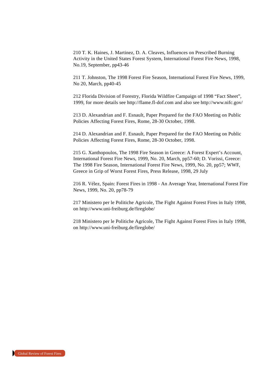210 T. K. Haines, J. Martinez, D. A. Cleaves, Influences on Prescribed Burning Activity in the United States Forest System, International Forest Fire News, 1998, No.19, September, pp43-46

2 11 T. Johnston, The 1998 Forest Fire Season, International Forest Fire News, 1999, No 20, March, pp40-45

212 Florida Division of Forestry, Florida Wildfire Campaign of 1998 "Fact Sheet", 1999, for more details see http://flame.fl-dof.com and also see http://www.nifc.gov/

213 D. Alexandrian and F. Esnault, Paper Prepared for the FAO Meeting on Public Policies Affecting Forest Fires, Rome, 28-30 October, 1998.

214 D. Alexandrian and F. Esnault, Paper Prepared for the FAO Meeting on Public Policies Affecting Forest Fires, Rome, 28-30 October, 1998.

215 G. Xanthopoulos, The 1998 Fire Season in Greece: A Forest Expert's Account, International Forest Fire News, 1999, No. 20, March, pp57-60; D. Vorissi, Greece: The 1998 Fire Season, International Forest Fire News, 1999, No. 20, pp57; WWF, Greece in Grip of Worst Forest Fires, Press Release, 1998, 29 July

216 R. Vélez, Spain: Forest Fires in 1998 - An Average Year, International Forest Fire News, 1999, No. 20, pp78-79

217 Ministero per le Politiche Agricole, The Fight Against Forest Fires in Italy 1998, on http://www.uni-freiburg.de/fireglobe/

218 Ministero per le Politiche Agricole, The Fight Against Forest Fires in Italy 1998, on http://www.uni-freiburg.de/fireglobe/